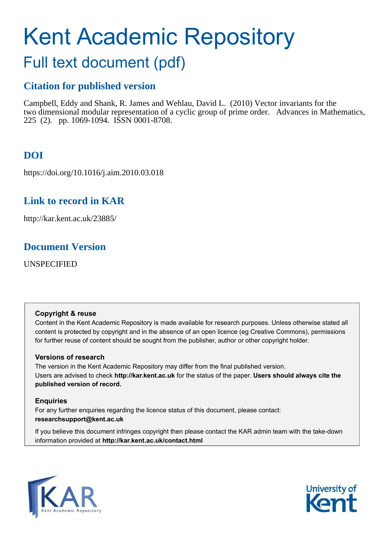# Kent Academic Repository

## Full text document (pdf)

## **Citation for published version**

Campbell, Eddy and Shank, R. James and Wehlau, David L. (2010) Vector invariants for the two dimensional modular representation of a cyclic group of prime order. Advances in Mathematics, 225 (2). pp. 1069-1094. ISSN 0001-8708.

## **DOI**

https://doi.org/10.1016/j.aim.2010.03.018

## **Link to record in KAR**

http://kar.kent.ac.uk/23885/

## **Document Version**

UNSPECIFIED

#### **Copyright & reuse**

Content in the Kent Academic Repository is made available for research purposes. Unless otherwise stated all content is protected by copyright and in the absence of an open licence (eg Creative Commons), permissions for further reuse of content should be sought from the publisher, author or other copyright holder.

#### **Versions of research**

The version in the Kent Academic Repository may differ from the final published version. Users are advised to check **http://kar.kent.ac.uk** for the status of the paper. **Users should always cite the published version of record.**

#### **Enquiries**

For any further enquiries regarding the licence status of this document, please contact: **researchsupport@kent.ac.uk**

If you believe this document infringes copyright then please contact the KAR admin team with the take-down information provided at **http://kar.kent.ac.uk/contact.html**



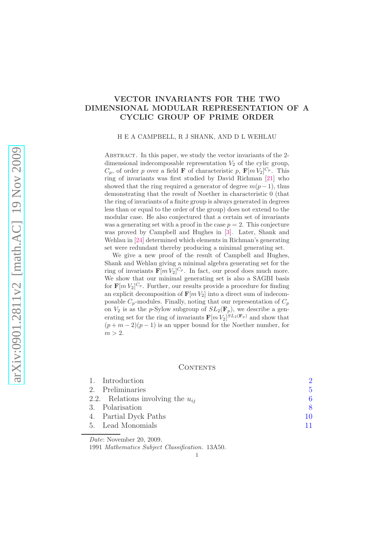#### <span id="page-1-0"></span>VECTOR INVARIANTS FOR THE TWO DIMENSIONAL MODULAR REPRESENTATION OF A CYCLIC GROUP OF PRIME ORDER

H E A CAMPBELL, R J SHANK, AND D L WEHLAU

ABSTRACT. In this paper, we study the vector invariants of the 2dimensional indecomposable representation  $V_2$  of the cylic group,  $C_p$ , of order p over a field **F** of characteristic p,  $\mathbf{F}[m V_2]^{C_p}$ . This ring of invariants was first studied by David Richman [\[21\]](#page-28-0) who showed that the ring required a generator of degree  $m(p-1)$ , thus demonstrating that the result of Noether in characteristic 0 (that the ring of invariants of a finite group is always generated in degrees less than or equal to the order of the group) does not extend to the modular case. He also conjectured that a certain set of invariants was a generating set with a proof in the case  $p = 2$ . This conjecture was proved by Campbell and Hughes in [\[3\]](#page-27-0). Later, Shank and Wehlau in [\[24\]](#page-28-1) determined which elements in Richman's generating set were redundant thereby producing a minimal generating set.

We give a new proof of the result of Campbell and Hughes, Shank and Wehlau giving a minimal algebra generating set for the ring of invariants  $\mathbf{F}[m V_2]^{C_p}$ . In fact, our proof does much more. We show that our minimal generating set is also a SAGBI basis for  $\mathbf{F}[m V_2]^{C_p}$ . Further, our results provide a procedure for finding an explicit decomposition of  $\mathbf{F}[m V_2]$  into a direct sum of indecomposable  $C_p$ -modules. Finally, noting that our representation of  $C_p$ on  $V_2$  is as the p-Sylow subgroup of  $SL_2(\mathbf{F}_p)$ , we describe a generating set for the ring of invariants  $\mathbf{F}[m V_2]^{SL_2(\mathbf{F}_p)}$  and show that  $(p+m-2)(p-1)$  is an upper bound for the Noether number, for  $m > 2$ .

#### **CONTENTS**

| 1. Introduction                       |    |
|---------------------------------------|----|
| 2. Preliminaries                      | 5. |
| 2.2. Relations involving the $u_{ii}$ | 6  |
| 3. Polarisation                       | 8  |
| 4. Partial Dyck Paths                 | 10 |
| 5. Lead Monomials                     | 11 |
|                                       |    |

Date: November 20, 2009.

1991 Mathematics Subject Classification. 13A50.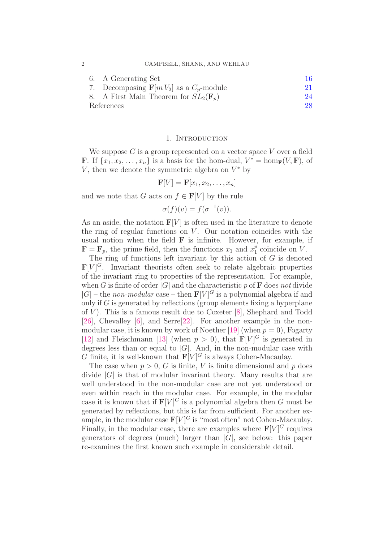2 CAMPBELL, SHANK, AND WEHLAU

| 6. A Generating Set                                   | 16 |
|-------------------------------------------------------|----|
| 7. Decomposing $\mathbf{F}[m V_2]$ as a $C_p$ -module | 21 |
| 8. A First Main Theorem for $SL_2(\mathbf{F}_n)$      | 24 |
| References                                            | 28 |

#### 1. INTRODUCTION

We suppose  $G$  is a group represented on a vector space  $V$  over a field **F**. If  $\{x_1, x_2, \ldots, x_n\}$  is a basis for the hom-dual,  $V^* = \text{hom}_{\mathbf{F}}(V, \mathbf{F})$ , of  $V$ , then we denote the symmetric algebra on  $V^*$  by

$$
\mathbf{F}[V] = \mathbf{F}[x_1, x_2, \dots, x_n]
$$

and we note that G acts on  $f \in \mathbf{F}[V]$  by the rule

 $\sigma(f)(v) = f(\sigma^{-1}(v)).$ 

As an aside, the notation  $F[V]$  is often used in the literature to denote the ring of regular functions on  $V$ . Our notation coincides with the usual notion when the field  $\bf{F}$  is infinite. However, for example, if  $\mathbf{F} = \mathbf{F}_p$ , the prime field, then the functions  $x_1$  and  $x_1^p$  $_1^p$  coincide on V.

The ring of functions left invariant by this action of  $G$  is denoted  $\mathbf{F}[V]^G$ . Invariant theorists often seek to relate algebraic properties of the invariant ring to properties of the representation. For example, when G is finite of order  $|G|$  and the characteristic p of **F** does not divide  $|G|$  – the *non-modular* case – then  $\mathbf{F}[V]^G$  is a polynomial algebra if and only if  $G$  is generated by reflections (group elements fixing a hyperplane of  $V$ ). This is a famous result due to Coxeter [\[8\]](#page-27-2), Shephard and Todd [\[26\]](#page-28-2), Chevalley [\[6\]](#page-27-3), and Serre[\[22\]](#page-28-3). For another example in the non-modular case, it is known by work of Noether [\[19\]](#page-28-4) (when  $p = 0$ ), Fogarty [\[12\]](#page-28-5) and Fleischmann [\[13\]](#page-28-6) (when  $p > 0$ ), that  $\mathbf{F}[V]^G$  is generated in degrees less than or equal to  $|G|$ . And, in the non-modular case with G finite, it is well-known that  $\mathbf{F}[V]^G$  is always Cohen-Macaulay.

The case when  $p > 0$ , G is finite, V is finite dimensional and p does divide  $|G|$  is that of modular invariant theory. Many results that are well understood in the non-modular case are not yet understood or even within reach in the modular case. For example, in the modular case it is known that if  $F[V]$ <sup>G</sup> is a polynomial algebra then G must be generated by reflections, but this is far from sufficient. For another example, in the modular case  $\mathbf{F}[V]^G$  is "most often" not Cohen-Macaulay. Finally, in the modular case, there are examples where  $\mathbf{F}[V]^G$  requires generators of degrees (much) larger than  $|G|$ , see below: this paper re-examines the first known such example in considerable detail.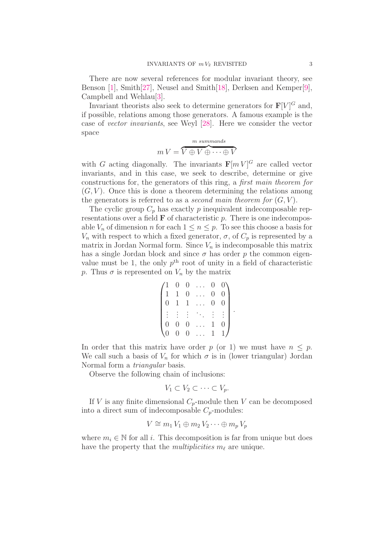There are now several references for modular invariant theory, see Benson [\[1\]](#page-27-4), Smith[\[27\]](#page-28-7), Neusel and Smith[\[18\]](#page-28-8), Derksen and Kemper[\[9\]](#page-28-9), Campbell and Wehlau[\[3\]](#page-27-0).

Invariant theorists also seek to determine generators for  $\mathbf{F}[V]^G$  and, if possible, relations among those generators. A famous example is the case of *vector invariants*, see Weyl [\[28\]](#page-28-10). Here we consider the vector space

$$
m V = \overbrace{V \oplus V \oplus \cdots \oplus V}^{m \; summands}
$$

with G acting diagonally. The invariants  $\mathbf{F}[m V]^G$  are called vector invariants, and in this case, we seek to describe, determine or give constructions for, the generators of this ring, a *first main theorem for*  $(G, V)$ . Once this is done a theorem determining the relations among the generators is referred to as a *second main theorem for*  $(G, V)$ .

The cyclic group  $C_p$  has exactly p inequivalent indecomposable representations over a field  $\bf{F}$  of characteristic  $p$ . There is one indecomposable  $V_n$  of dimension n for each  $1 \leq n \leq p$ . To see this choose a basis for  $V_n$  with respect to which a fixed generator,  $\sigma$ , of  $C_p$  is represented by a matrix in Jordan Normal form. Since  $V_n$  is indecomposable this matrix has a single Jordan block and since  $\sigma$  has order p the common eigenvalue must be 1, the only  $p<sup>th</sup>$  root of unity in a field of characteristic p. Thus  $\sigma$  is represented on  $V_n$  by the matrix

$$
\begin{pmatrix}\n1 & 0 & 0 & \dots & 0 & 0 \\
1 & 1 & 0 & \dots & 0 & 0 \\
0 & 1 & 1 & \dots & 0 & 0 \\
\vdots & \vdots & \vdots & \ddots & \vdots & \vdots \\
0 & 0 & 0 & \dots & 1 & 0 \\
0 & 0 & 0 & \dots & 1 & 1\n\end{pmatrix}.
$$

In order that this matrix have order p (or 1) we must have  $n \leq p$ . We call such a basis of  $V_n$  for which  $\sigma$  is in (lower triangular) Jordan Normal form a *triangular* basis.

Observe the following chain of inclusions:

$$
V_1 \subset V_2 \subset \cdots \subset V_p.
$$

If V is any finite dimensional  $C_p$ -module then V can be decomposed into a direct sum of indecomposable  $C_p$ -modules:

$$
V \cong m_1 V_1 \oplus m_2 V_2 \cdots \oplus m_p V_p
$$

where  $m_i \in \mathbb{N}$  for all i. This decomposition is far from unique but does have the property that the *multiplicities*  $m_\ell$  are unique.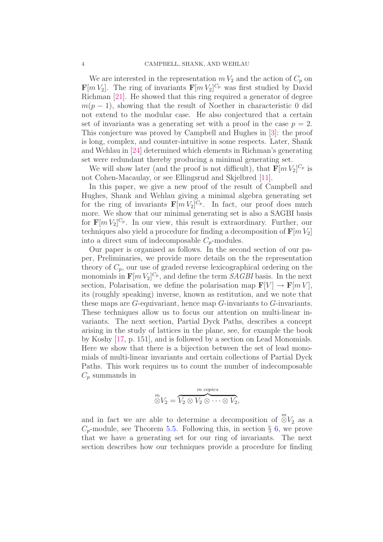We are interested in the representation  $mV_2$  and the action of  $C_p$  on  $\mathbf{F}[m V_2]$ . The ring of invariants  $\mathbf{F}[m V_2]^{C_p}$  was first studied by David Richman [\[21\]](#page-28-0). He showed that this ring required a generator of degree  $m(p-1)$ , showing that the result of Noether in characteristic 0 did not extend to the modular case. He also conjectured that a certain set of invariants was a generating set with a proof in the case  $p = 2$ . This conjecture was proved by Campbell and Hughes in [\[3\]](#page-27-0): the proof is long, complex, and counter-intuitive in some respects. Later, Shank and Wehlau in [\[24\]](#page-28-1) determined which elements in Richman's generating set were redundant thereby producing a minimal generating set.

<span id="page-4-0"></span>We will show later (and the proof is not difficult), that  $\mathbf{F}[m V_2]^{C_p}$  is not Cohen-Macaulay, or see Ellingsrud and Skjelbred [\[11\]](#page-28-11).

In this paper, we give a new proof of the result of Campbell and Hughes, Shank and Wehlau giving a minimal algebra generating set for the ring of invariants  $\mathbf{F}[m V_2]^{C_p}$ . In fact, our proof does much more. We show that our minimal generating set is also a SAGBI basis for  $\mathbf{F}[m V_2]^{C_p}$ . In our view, this result is extraordinary. Further, our techniques also yield a procedure for finding a decomposition of  $\mathbf{F}[m V_2]$ into a direct sum of indecomposable  $C_p$ -modules.

Our paper is organised as follows. In the second section of our paper, Preliminaries, we provide more details on the the representation theory of  $C_p$ , our use of graded reverse lexicographical ordering on the monomials in  $\mathbf{F}[m V_2]^{C_p}$ , and define the term *SAGBI* basis. In the next section, Polarisation, we define the polarisation map  $\mathbf{F}[V] \to \mathbf{F}[m]$ , its (roughly speaking) inverse, known as restitution, and we note that these maps are  $G$ -equivariant, hence map  $G$ -invariants to  $G$ -invariants. These techniques allow us to focus our attention on multi-linear invariants. The next section, Partial Dyck Paths, describes a concept arising in the study of lattices in the plane, see, for example the book by Koshy [\[17,](#page-28-12) p. 151], and is followed by a section on Lead Monomials. Here we show that there is a bijection between the set of lead monomials of multi-linear invariants and certain collections of Partial Dyck Paths. This work requires us to count the number of indecomposable  $C_p$  summands in

$$
\overset{m}{\otimes} V_2 = \overbrace{V_2 \otimes V_2 \otimes \cdots \otimes V_2}^{m \text{ copies}},
$$

and in fact we are able to determine a decomposition of  $\mathbb{S}V_2$  as a  $C_p$ -module, see Theorem [5.5.](#page-14-0) Following this, in section § [6,](#page-15-0) we prove that we have a generating set for our ring of invariants. The next section describes how our techniques provide a procedure for finding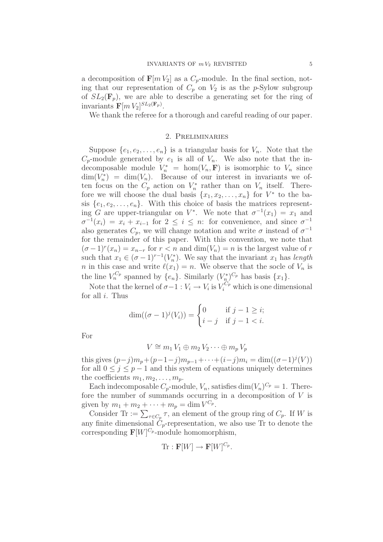a decomposition of  $\mathbf{F}[m V_2]$  as a  $C_p$ -module. In the final section, noting that our representation of  $C_p$  on  $V_2$  is as the p-Sylow subgroup of  $SL_2(\mathbf{F}_n)$ , we are able to describe a generating set for the ring of invariants  $\mathbf{F}[m V_2]^{SL_2(\mathbf{F}_p)}$ .

We thank the referee for a thorough and careful reading of our paper.

#### 2. Preliminaries

<span id="page-5-1"></span>Suppose  $\{e_1, e_2, \ldots, e_n\}$  is a triangular basis for  $V_n$ . Note that the  $C_p$ -module generated by  $e_1$  is all of  $V_n$ . We also note that the indecomposable module  $V_n^* = \text{hom}(V_n, \mathbf{F})$  is isomorphic to  $V_n$  since  $\dim(V_n^*) = \dim(V_n)$ . Because of our interest in invariants we often focus on the  $C_p$  action on  $V_n^*$  rather than on  $V_n$  itself. Therefore we will choose the dual basis  $\{x_1, x_2, \ldots, x_n\}$  for  $V^*$  to the basis  $\{e_1, e_2, \ldots, e_n\}$ . With this choice of basis the matrices representing G are upper-triangular on  $V^*$ . We note that  $\sigma^{-1}(x_1) = x_1$  and  $\sigma^{-1}(x_i) = x_i + x_{i-1}$  for  $2 \leq i \leq n$ : for convenience, and since  $\sigma^{-1}$ also generates  $C_p$ , we will change notation and write  $\sigma$  instead of  $\sigma^{-1}$ for the remainder of this paper. With this convention, we note that  $(\sigma - 1)^r (x_n) = x_{n-r}$  for  $r < n$  and  $\dim(V_n) = n$  is the largest value of r such that  $x_1 \in (\sigma - 1)^{r-1}(V_n^*)$ . We say that the invariant  $x_1$  has *length n* in this case and write  $\ell(x_1) = n$ . We observe that the socle of  $V_n$  is the line  $V_n^{C_p}$  spanned by  $\{e_n\}$ . Similarly  $(V_n^*)^{C_p}$  has basis  $\{x_1\}$ .

Note that the kernel of  $\sigma-1: V_i \to V_i$  is  $V_i^{C_p}$  which is one dimensional for all  $i$ . Thus

$$
\dim((\sigma - 1)^j(V_i)) = \begin{cases} 0 & \text{if } j - 1 \ge i; \\ i - j & \text{if } j - 1 < i. \end{cases}
$$

For

$$
V \cong m_1 V_1 \oplus m_2 V_2 \cdots \oplus m_p V_p
$$

<span id="page-5-0"></span>this gives  $(p-j)m_p + (p-1-j)m_{p-1} + \cdots + (i-j)m_i = \dim((\sigma-1)^j(V))$ for all  $0 \leq j \leq p-1$  and this system of equations uniquely determines the coefficients  $m_1, m_2, \ldots, m_n$ .

Each indecomposable  $C_p$ -module,  $V_n$ , satisfies dim $(V_n)^{C_p} = 1$ . Therefore the number of summands occurring in a decomposition of V is given by  $m_1 + m_2 + \cdots + m_p = \dim V^{C_p}$ .

Consider Tr :=  $\sum_{\tau \in C_p} \tau$ , an element of the group ring of  $C_p$ . If W is any finite dimensional  $C_p$ -representation, we also use Tr to denote the corresponding  $\mathbf{F}[W]^{C_p}$ -module homomorphism,

$$
\mathrm{Tr}:\mathbf{F}[W]\to\mathbf{F}[W]^{C_p}.
$$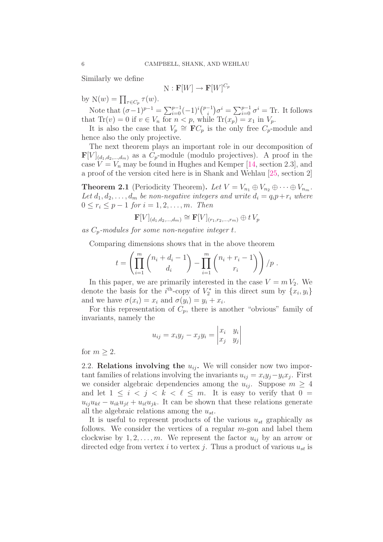Similarly we define

$$
\mathrm{N}:\mathbf{F}[W]\to\mathbf{F}[W]^{C_p}
$$

by  $N(w) = \prod_{\tau \in C_p} \tau(w)$ .

Note that  $({\sigma}-1)^{p-1} = \sum_{i=0}^{p-1} (-1)^i {p-1 \choose i}$  $\sum_{i=0}^{-1} \sigma^i = \sum_{i=0}^{p-1} \sigma^i = \text{Tr}$ . It follows that  $\text{Tr}(v) = 0$  if  $v \in V_n$  for  $n < p$ , while  $\text{Tr}(x_p) = x_1$  in  $V_p$ .

It is also the case that  $V_p \cong \mathbf{F}C_p$  is the only free  $C_p$ -module and hence also the only projective.

The next theorem plays an important role in our decomposition of  $\mathbf{F}[V]_{(d_1,d_2,...,d_m)}$  as a  $C_p$ -module (modulo projectives). A proof in the case  $V = V_n$  may be found in Hughes and Kemper [\[14,](#page-28-13) section 2.3], and a proof of the version cited here is in Shank and Wehlau [\[25,](#page-28-14) section 2]

**Theorem 2.1** (Periodicity Theorem). Let  $V = V_{n_1} \oplus V_{n_2} \oplus \cdots \oplus V_{n_m}$ . Let  $d_1, d_2, \ldots, d_m$  be non-negative integers and write  $d_i = q_i p + r_i$  where  $0 \le r_i \le p-1$  *for*  $i = 1, 2, ..., m$ *. Then* 

$$
\mathbf{F}[V]_{(d_1,d_2,...,d_m)} \cong \mathbf{F}[V]_{(r_1,r_2,...,r_m)} \oplus t V_p
$$

*as* Cp*-modules for some non-negative integer* t*.*

Comparing dimensions shows that in the above theorem

$$
t = \left(\prod_{i=1}^{m} {n_i + d_i - 1 \choose d_i} - \prod_{i=1}^{m} {n_i + r_i - 1 \choose r_i} \right) / p.
$$

In this paper, we are primarily interested in the case  $V = m V_2$ . We denote the basis for the  $i<sup>th</sup>$ -copy of  $V_2^*$  in this direct sum by  $\{x_i, y_i\}$ and we have  $\sigma(x_i) = x_i$  and  $\sigma(y_i) = y_i + x_i$ .

For this representation of  $C_p$ , there is another "obvious" family of invariants, namely the

$$
u_{ij} = x_i y_j - x_j y_i = \begin{vmatrix} x_i & y_i \\ x_j & y_j \end{vmatrix}
$$

for  $m \geq 2$ .

2.2. Relations involving the  $u_{ij}$ . We will consider now two important families of relations involving the invariants  $u_{ij} = x_i y_j - y_i x_j$ . First we consider algebraic dependencies among the  $u_{ij}$ . Suppose  $m \geq 4$ and let  $1 \leq i \leq j \leq k \leq \ell \leq m$ . It is easy to verify that  $0 =$  $u_{ii}u_{k\ell} - u_{ik}u_{j\ell} + u_{i\ell}u_{jk}$ . It can be shown that these relations generate all the algebraic relations among the  $u_{st}$ .

It is useful to represent products of the various  $u_{st}$  graphically as follows. We consider the vertices of a regular  $m$ -gon and label them clockwise by  $1, 2, \ldots, m$ . We represent the factor  $u_{ij}$  by an arrow or directed edge from vertex i to vertex j. Thus a product of various  $u_{st}$  is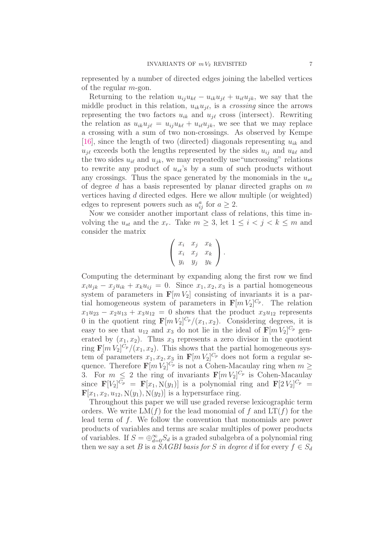represented by a number of directed edges joining the labelled vertices of the regular  $m$ -gon.

Returning to the relation  $u_{ij}u_{k\ell} - u_{ik}u_{i\ell} + u_{i\ell}u_{jk}$ , we say that the middle product in this relation,  $u_{ik}u_{i\ell}$ , is a *crossing* since the arrows representing the two factors  $u_{ik}$  and  $u_{j\ell}$  cross (intersect). Rewriting the relation as  $u_{ik}u_{j\ell} = u_{ij}u_{k\ell} + u_{i\ell}u_{jk}$ , we see that we may replace a crossing with a sum of two non-crossings. As observed by Kempe [\[16\]](#page-28-15), since the length of two (directed) diagonals representing  $u_{ik}$  and  $u_{i\ell}$  exceeds both the lengths represented by the sides  $u_{i,j}$  and  $u_{k\ell}$  and the two sides  $u_{i\ell}$  and  $u_{ik}$ , we may repeatedly use "uncrossing" relations to rewrite any product of  $u_{st}$ 's by a sum of such products without any crossings. Thus the space generated by the monomials in the  $u_{st}$ of degree d has a basis represented by planar directed graphs on  $m$ vertices having d directed edges. Here we allow multiple (or weighted) edges to represent powers such as  $u_{ij}^a$  for  $a \geq 2$ .

<span id="page-7-1"></span>Now we consider another important class of relations, this time involving the  $u_{st}$  and the  $x_r$ . Take  $m \geq 3$ , let  $1 \leq i < j < k \leq m$  and consider the matrix

$$
\left(\begin{array}{ccc} x_i & x_j & x_k \\ x_i & x_j & x_k \\ y_i & y_j & y_k \end{array}\right).
$$

<span id="page-7-0"></span>Computing the determinant by expanding along the first row we find  $x_iu_{jk} - x_ju_{ik} + x_ku_{ij} = 0$ . Since  $x_1, x_2, x_3$  is a partial homogeneous system of parameters in  $\mathbf{F}[m V_2]$  consisting of invariants it is a partial homogeneous system of parameters in  $\mathbf{F}[m V_2]^{C_p}$ . The relation  $x_1u_{23} - x_2u_{13} + x_3u_{12} = 0$  shows that the product  $x_3u_{12}$  represents 0 in the quotient ring  $\mathbf{F}[m V_2]^{C_p}/(x_1, x_2)$ . Considering degrees, it is easy to see that  $u_{12}$  and  $x_3$  do not lie in the ideal of  $\mathbf{F}[m V_2]^{C_p}$  generated by  $(x_1, x_2)$ . Thus  $x_3$  represents a zero divisor in the quotient ring  $\mathbf{F}[m V_2]^{C_p}/(x_1, x_2)$ . This shows that the partial homogeneous system of parameters  $x_1, x_2, x_3$  in  $\mathbf{F}[m V_2]^{C_p}$  does not form a regular sequence. Therefore  $\mathbf{F}[m V_2]^{C_p}$  is not a Cohen-Macaulay ring when  $m \geq$ 3. For  $m \leq 2$  the ring of invariants  $\mathbf{F}[m V_2]^{C_p}$  is Cohen-Macaulay since  $\mathbf{F}[V_2]^{C_p} = \mathbf{F}[x_1, N(y_1)]$  is a polynomial ring and  $\mathbf{F}[2 V_2]^{C_p} =$  $\mathbf{F}[x_1, x_2, u_{12}, \mathbf{N}(y_1), \mathbf{N}(y_2)]$  is a hypersurface ring.

Throughout this paper we will use graded reverse lexicographic term orders. We write  $LM(f)$  for the lead monomial of f and  $LT(f)$  for the lead term of f. We follow the convention that monomials are power products of variables and terms are scalar multiples of power products of variables. If  $S = \bigoplus_{d=0}^{\infty} S_d$  is a graded subalgebra of a polynomial ring then we say a set B is *a SAGBI basis for* S *in degree* d if for every  $f \in S_d$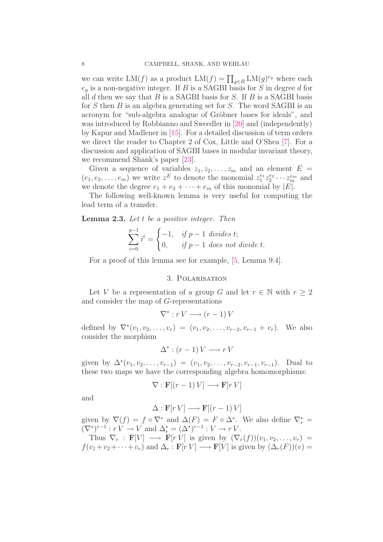we can write  $LM(f)$  as a product  $LM(f) = \prod_{g \in B} LM(g)^{e_g}$  where each  $e_g$  is a non-negative integer. If B is a SAGBI basis for S in degree d for all  $d$  then we say that  $B$  is a SAGBI basis for  $S$ . If  $B$  is a SAGBI basis for S then B is an algebra generating set for S. The word SAGBI is an acronym for "sub-algebra analogue of Gröbner bases for ideals", and was introduced by Robbianno and Sweedler in [\[20\]](#page-28-16) and (independently) by Kapur and Madlener in [\[15\]](#page-28-17). For a detailed discussion of term orders we direct the reader to Chapter 2 of Cox, Little and O'Shea [\[7\]](#page-27-5). For a discussion and application of SAGBI bases in modular invariant theory, we recommend Shank's paper [\[23\]](#page-28-18).

Given a sequence of variables  $z_1, z_2, \ldots, z_m$  and an element  $E =$  $(e_1, e_2, \ldots, e_m)$  we write  $z^E$  to denote the monomial  $z_1^{e_1}$  $^{e_1}_{1}z_2^{e_2}$  $z_2^{e_2} \cdots z_m^{e_m}$  and we denote the degree  $e_1 + e_2 + \cdots + e_m$  of this monomial by  $|E|$ .

The following well-known lemma is very useful for computing the lead term of a transfer.

Lemma 2.3. *Let* t *be a positive integer. Then*

$$
\sum_{i=0}^{p-1} i^t = \begin{cases} -1, & if \ p-1 \ \text{divides } t; \\ 0, & if \ p-1 \ \text{does not divide } t. \end{cases}
$$

For a proof of this lemma see for example, [\[5,](#page-27-6) Lemma 9.4].

#### 3. Polarisation

Let V be a representation of a group G and let  $r \in \mathbb{N}$  with  $r > 2$ and consider the map of G-representations

$$
\nabla^* : r V \longrightarrow (r-1) V
$$

defined by  $\nabla^*(v_1, v_2, \dots, v_r) = (v_1, v_2, \dots, v_{r-2}, v_{r-1} + v_r)$ . We also consider the morphism

$$
\Delta^* : (r-1)V \longrightarrow rV
$$

given by  $\Delta^*(v_1, v_2, \ldots, v_{r-1}) = (v_1, v_2, \ldots, v_{r-2}, v_{r-1}, v_{r-1})$ . Dual to these two maps we have the corresponding algebra homomorphisms:

$$
\nabla : \mathbf{F}[(r-1) V] \longrightarrow \mathbf{F}[r V]
$$

and

$$
\Delta : \mathbf{F}[r V] \longrightarrow \mathbf{F}[(r-1) V]
$$

given by  $\nabla(f) = f \circ \nabla^*$  and  $\Delta(F) = F \circ \Delta^*$ . We also define  $\nabla_r^* =$  $(\nabla^*)^{r-1}: r V \to V \text{ and } \Delta_r^* = (\Delta^*)^{r-1}: V \to r V.$ 

Thus  $\nabla_r : \mathbf{F}[V] \longrightarrow \mathbf{F}[r\,\dot{V}]$  is given by  $(\nabla_r(f))(v_1, v_2, \ldots, v_r) =$  $f(v_1 + v_2 + \cdots + v_r)$  and  $\Delta_r : \mathbf{F}[r] \longrightarrow \mathbf{F}[V]$  is given by  $(\Delta_r(F))(v) =$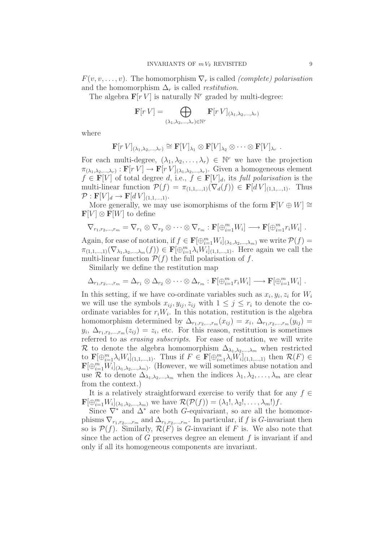<span id="page-9-0"></span> $F(v, v, \ldots, v)$ . The homomorphism  $\nabla_r$  is called *(complete) polarisation* and the homomorphism  $\Delta_r$  is called *restitution*.

The algebra  $\mathbf{F}[r V]$  is naturally  $\mathbb{N}^r$  graded by multi-degree:

$$
\mathbf{F}[r\ V] = \bigoplus_{(\lambda_1, \lambda_2, \ldots, \lambda_r) \in \mathbb{N}^r} \mathbf{F}[r\ V]_{(\lambda_1, \lambda_2, \ldots, \lambda_r)}
$$

where

$$
\mathbf{F}[r V]_{(\lambda_1, \lambda_2, ..., \lambda_r)} \cong \mathbf{F}[V]_{\lambda_1} \otimes \mathbf{F}[V]_{\lambda_2} \otimes \cdots \otimes \mathbf{F}[V]_{\lambda_r} .
$$

For each multi-degree,  $(\lambda_1, \lambda_2, \ldots, \lambda_r) \in \mathbb{N}^r$  we have the projection  $\pi_{(\lambda_1,\lambda_2,\dots,\lambda_r)}:\mathbf{F}[r] \to \mathbf{F}[r] \cup_{(\lambda_1,\lambda_2,\dots,\lambda_r)}$ . Given a homogeneous element  $f \in \mathbf{F}[V]$  of total degree d, i.e.,  $f \in \mathbf{F}[V]_d$ , its *full polarisation* is the multi-linear function  $\mathcal{P}(f) = \pi_{(1,1,\ldots,1)}(\nabla_d(f)) \in \mathbf{F}[dV]_{(1,1,\ldots,1)}$ . Thus  $\mathcal{P}: \mathbf{F}[V]_d \to \mathbf{F}[d]_{{(1,1,\ldots,1)}}.$ 

More generally, we may use isomorphisms of the form  $\mathbf{F}[V \oplus W] \cong$  $\mathbf{F}[V] \otimes \mathbf{F}[W]$  to define

$$
\nabla_{r_1,r_2,\dots,r_m} = \nabla_{r_1} \otimes \nabla_{r_2} \otimes \dots \otimes \nabla_{r_m} : \mathbf{F}[\bigoplus_{i=1}^m W_i] \longrightarrow \mathbf{F}[\bigoplus_{i=1}^m r_i W_i] .
$$

Again, for ease of notation, if  $f \in \mathbf{F}[\bigoplus_{i=1}^m W_i]_{(\lambda_1,\lambda_2,\dots,\lambda_m)}$  we write  $\mathcal{P}(f) =$  $\pi_{(1,1,\ldots,1)}(\nabla_{\lambda_1,\lambda_2,\ldots,\lambda_m}(f)) \in \mathbf{F}[\bigoplus_{i=1}^m \lambda_i W_i]_{(1,1,\ldots,1)}$ . Here again we call the multi-linear function  $\mathcal{P}(f)$  the full polarisation of f.

Similarly we define the restitution map

$$
\Delta_{r_1,r_2,\dots,r_m} = \Delta_{r_1} \otimes \Delta_{r_2} \otimes \cdots \otimes \Delta_{r_m} : \mathbf{F}[\bigoplus_{i=1}^m r_i W_i] \longrightarrow \mathbf{F}[\bigoplus_{i=1}^m W_i] .
$$

In this setting, if we have co-ordinate variables such as  $x_i, y_i, z_i$  for  $W_i$ we will use the symbols  $x_{ij}$ ,  $y_{ij}$ ,  $z_{ij}$  with  $1 \leq j \leq r_i$  to denote the coordinate variables for  $r_iW_i$ . In this notation, restitution is the algebra homomorphism determined by  $\Delta_{r_1,r_2,\dots,r_m}(x_{ij}) = x_i, \ \Delta_{r_1,r_2,\dots,r_m}(y_{ij}) =$  $y_i, \Delta_{r_1,r_2,\dots,r_m}(z_{ij}) = z_i$ , etc. For this reason, restitution is sometimes referred to as *erasing subscripts*. For ease of notation, we will write R to denote the algebra homomorphism  $\Delta_{\lambda_1,\lambda_2,\dots,\lambda_m}$  when restricted to  $\mathbf{F}[\bigoplus_{i=1}^m \lambda_i W_i]_{(1,1,\dots,1)}$ . Thus if  $F \in \mathbf{F}[\bigoplus_{i=1}^m \lambda_i W_i]_{(1,1,\dots,1)}$  then  $\mathcal{R}(F) \in$  $\mathbf{F}[\bigoplus_{i=1}^m W_i]_{(\lambda_1,\lambda_2,\ldots,\lambda_m)}$ . (However, we will sometimes abuse notation and use R to denote  $\Delta_{\lambda_1,\lambda_2,\dots,\lambda_m}$  when the indices  $\lambda_1,\lambda_2,\dots,\lambda_m$  are clear from the context.)

It is a relatively straightforward exercise to verify that for any  $f \in$  $\mathbf{F}[\bigoplus_{i=1}^m W_i]_{(\lambda_1,\lambda_2,\ldots,\lambda_m)}$  we have  $\mathcal{R}(\mathcal{P}(f)) = (\lambda_1!,\lambda_2!,\ldots,\lambda_m!)f$ .

Since  $\nabla^*$  and  $\Delta^*$  are both G-equivariant, so are all the homomorphisms  $\nabla_{r_1,r_2,...,r_m}$  and  $\Delta_{r_1,r_2,...,r_m}$ . In particular, if f is G-invariant then so is  $\mathcal{P}(f)$ . Similarly,  $\mathcal{R}(F)$  is G-invariant if F is. We also note that since the action of  $G$  preserves degree an element  $f$  is invariant if and only if all its homogeneous components are invariant.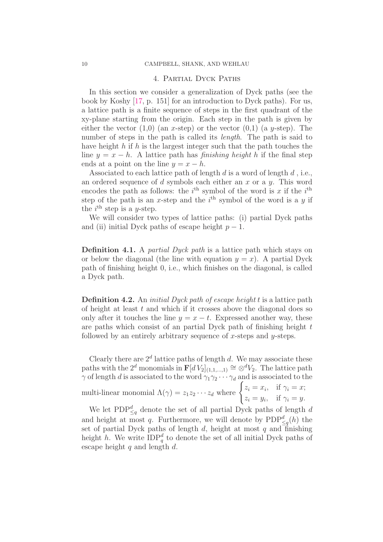#### 4. Partial Dyck Paths

<span id="page-10-0"></span>In this section we consider a generalization of Dyck paths (see the book by Koshy [\[17,](#page-28-12) p. 151] for an introduction to Dyck paths). For us, a lattice path is a finite sequence of steps in the first quadrant of the xy-plane starting from the origin. Each step in the path is given by either the vector  $(1,0)$  (an x-step) or the vector  $(0,1)$  (a y-step). The number of steps in the path is called its *length*. The path is said to have height h if h is the largest integer such that the path touches the line  $y = x - h$ . A lattice path has *finishing height* h if the final step ends at a point on the line  $y = x - h$ .

Associated to each lattice path of length  $d$  is a word of length  $d$ , i.e., an ordered sequence of d symbols each either an  $x$  or a  $y$ . This word encodes the path as follows: the  $i<sup>th</sup>$  symbol of the word is x if the  $i<sup>th</sup>$ step of the path is an x-step and the  $i<sup>th</sup>$  symbol of the word is a y if the  $i^{\text{th}}$  step is a *y*-step.

We will consider two types of lattice paths: (i) partial Dyck paths and (ii) initial Dyck paths of escape height  $p-1$ .

Definition 4.1. A *partial Dyck path* is a lattice path which stays on or below the diagonal (the line with equation  $y = x$ ). A partial Dyck path of finishing height 0, i.e., which finishes on the diagonal, is called a Dyck path.

Definition 4.2. An *initial Dyck path of escape height* t is a lattice path of height at least  $t$  and which if it crosses above the diagonal does so only after it touches the line  $y = x - t$ . Expressed another way, these are paths which consist of an partial Dyck path of finishing height  $t$ followed by an entirely arbitrary sequence of x-steps and  $y$ -steps.

Clearly there are  $2^d$  lattice paths of length d. We may associate these paths with the 2<sup>d</sup> monomials in  $\mathbf{F}[d]_{(1,1,...,1)} \cong \otimes^d V_2$ . The lattice path  $\gamma$  of length d is associated to the word  $\gamma_1 \gamma_2 \cdots \gamma_d$  and is associated to the

multi-linear monomial 
$$
\Lambda(\gamma) = z_1 z_2 \cdots z_d
$$
 where  $\begin{cases} z_i = x_i, & \text{if } \gamma_i = x; \\ z_i = y_i, & \text{if } \gamma_i = y. \end{cases}$ 

We let  $\text{PDP}_{\leq q}^d$  denote the set of all partial Dyck paths of length d and height at most q. Furthermore, we will denote by  $PDP_{\leq q}^d(h)$  the set of partial Dyck paths of length  $d$ , height at most  $q$  and finishing height h. We write  $IDP_q^d$  to denote the set of all initial Dyck paths of escape height  $q$  and length  $d$ .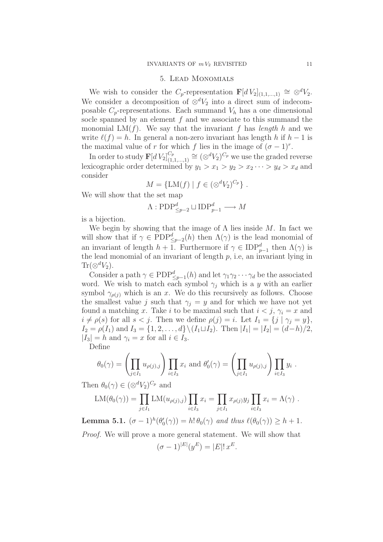#### 5. Lead Monomials

We wish to consider the C<sub>p</sub>-representation  $\mathbf{F}[dV_2]_{(1,1,\ldots,1)} \cong \otimes^d V_2$ . We consider a decomposition of  $\otimes^d V_2$  into a direct sum of indecomposable  $C_p$ -representations. Each summand  $V_h$  has a one dimensional socle spanned by an element  $f$  and we associate to this summand the monomial  $LM(f)$ . We say that the invariant f has *length* h and we write  $\ell(f) = h$ . In general a non-zero invariant has length h if  $h - 1$  is the maximal value of r for which f lies in the image of  $({\sigma} - 1)^r$ .

In order to study  $\mathbf{F}[dV_2]_{(1)}^{C_p}$  $\binom{C_p}{(1,1,\ldots,1)} \cong (\otimes^d V_2)^{C_p}$  we use the graded reverse lexicographic order determined by  $y_1 > x_1 > y_2 > x_2 \cdots > y_d > x_d$  and consider

$$
M = \{LM(f) | f \in (\otimes^d V_2)^{C_p}\} .
$$

We will show that the set map

$$
\Lambda: {\rm PDP}_{\leq p-2}^d\sqcup{\rm IDP}_{p-1}^d\longrightarrow M
$$

is a bijection.

We begin by showing that the image of  $\Lambda$  lies inside M. In fact we will show that if  $\gamma \in \mathrm{PDP}^d_{\leq p-2}(h)$  then  $\Lambda(\gamma)$  is the lead monomial of an invariant of length  $h + 1$ . Furthermore if  $\gamma \in \text{IDP}_{p-1}^d$  then  $\Lambda(\gamma)$  is the lead monomial of an invariant of length  $p$ , i.e, an invariant lying in  $\text{Tr}(\otimes^d V_2).$ 

Consider a path  $\gamma \in \mathrm{PDF}_{\leq p-1}^d(h)$  and let  $\gamma_1 \gamma_2 \cdots \gamma_d$  be the associated word. We wish to match each symbol  $\gamma_j$  which is a y with an earlier symbol  $\gamma_{\rho(i)}$  which is an x. We do this recursively as follows. Choose the smallest value j such that  $\gamma_i = y$  and for which we have not yet found a matching x. Take i to be maximal such that  $i < j$ ,  $\gamma_i = x$  and  $i \neq \rho(s)$  for all  $s < j$ . Then we define  $\rho(j) = i$ . Let  $I_1 = \{j \mid \gamma_i = y\},\$  $I_2 = \rho(I_1)$  and  $I_3 = \{1, 2, ..., d\} \setminus (I_1 \sqcup I_2)$ . Then  $|I_1| = |I_2| = (d-h)/2$ ,  $|I_3| = h$  and  $\gamma_i = x$  for all  $i \in I_3$ .

Define

$$
\theta_0(\gamma) = \left(\prod_{j \in I_1} u_{\rho(j),j}\right) \prod_{i \in I_3} x_i \text{ and } \theta'_0(\gamma) = \left(\prod_{j \in I_1} u_{\rho(j),j}\right) \prod_{i \in I_3} y_i.
$$

Then  $\theta_0(\gamma) \in (\otimes^d V_2)^{C_p}$  and

$$
LM(\theta_0(\gamma)) = \prod_{j \in I_1} LM(u_{\rho(j),j}) \prod_{i \in I_3} x_i = \prod_{j \in I_1} x_{\rho(j)} y_j \prod_{i \in I_3} x_i = \Lambda(\gamma) .
$$

**Lemma 5.1.**  $(\sigma - 1)^h(\theta'_0(\gamma)) = h! \theta_0(\gamma)$  and thus  $\ell(\theta_0(\gamma)) \ge h + 1$ .

*Proof.* We will prove a more general statement. We will show that

$$
(\sigma - 1)^{|E|}(y^E) = |E|! x^E
$$

.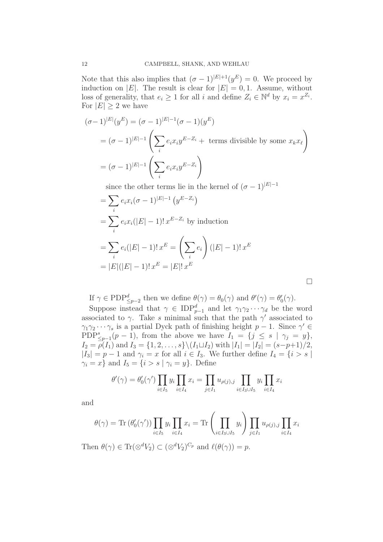Note that this also implies that  $({\sigma} - 1)^{|E|+1}(y^E) = 0$ . We proceed by induction on |E|. The result is clear for  $|E| = 0, 1$ . Assume, without loss of generality, that  $e_i \geq 1$  for all i and define  $Z_i \in \mathbb{N}^d$  by  $x_i = x^{Z_i}$ . For  $|E| \geq 2$  we have

$$
(\sigma - 1)^{|E|}(y^E) = (\sigma - 1)^{|E|-1}(\sigma - 1)(y^E)
$$
  
= 
$$
(\sigma - 1)^{|E|-1} \left( \sum_i e_i x_i y^{E-Z_i} + \text{ terms divisible by some } x_k x_\ell \right)
$$
  
= 
$$
(\sigma - 1)^{|E|-1} \left( \sum_i e_i x_i y^{E-Z_i} \right)
$$

since the other terms lie in the kernel of  $({\sigma}-1)^{|E|}$ 

$$
= \sum_{i} e_{i}x_{i}(\sigma - 1)^{|E|-1} (y^{E-Z_{i}})
$$
  
= 
$$
\sum_{i} e_{i}x_{i}(|E|-1)! x^{E-Z_{i}}
$$
 by induction  
= 
$$
\sum_{i} e_{i}(|E|-1)! x^{E} = \left(\sum_{i} e_{i}\right) (|E|-1)! x^{E}
$$
  
= 
$$
|E|(|E|-1)! x^{E} = |E|! x^{E}
$$

 $\Box$ 

If 
$$
\gamma \in \mathrm{PDF}_{\leq p-2}^d
$$
 then we define  $\theta(\gamma) = \theta_0(\gamma)$  and  $\theta'(\gamma) = \theta'_0(\gamma)$ .

Suppose instead that  $\gamma \in \text{IDP}_{p-1}^d$  and let  $\gamma_1 \gamma_2 \cdots \gamma_d$  be the word associated to  $\gamma$ . Take s minimal such that the path  $\gamma'$  associated to  $\gamma_1 \gamma_2 \cdots \gamma_s$  is a partial Dyck path of finishing height  $p-1$ . Since  $\gamma' \in$ PDP<sup>s</sup><sub> $\leq p-1$ </sub> $(p-1)$ , from the above we have  $I_1 = \{j \leq s \mid \gamma_j = y\},\$  $I_2 = \rho(I_1)$  and  $I_3 = \{1, 2, \ldots, s\} \setminus (I_1 \sqcup I_2)$  with  $|I_1| = |I_2| = (s-p+1)/2$ ,  $|I_3| = p - 1$  and  $\gamma_i = x$  for all  $i \in I_3$ . We further define  $I_4 = \{i > s \mid$  $\gamma_i = x$  and  $I_5 = \{i > s \mid \gamma_i = y\}$ . Define

$$
\theta'(\gamma) = \theta'_{0}(\gamma') \prod_{i \in I_{5}} y_{i} \prod_{i \in I_{4}} x_{i} = \prod_{j \in I_{1}} u_{\rho(j),j} \prod_{i \in I_{3} \cup I_{5}} y_{i} \prod_{i \in I_{4}} x_{i}
$$

and

$$
\theta(\gamma) = \text{Tr}(\theta_0'(\gamma')) \prod_{i \in I_5} y_i \prod_{i \in I_4} x_i = \text{Tr} \left( \prod_{i \in I_3 \cup I_5} y_i \right) \prod_{j \in I_1} u_{\rho(j),j} \prod_{i \in I_4} x_i
$$

Then  $\theta(\gamma) \in \text{Tr}(\otimes^d V_2) \subset (\otimes^d V_2)^{C_p}$  and  $\ell(\theta(\gamma)) = p$ .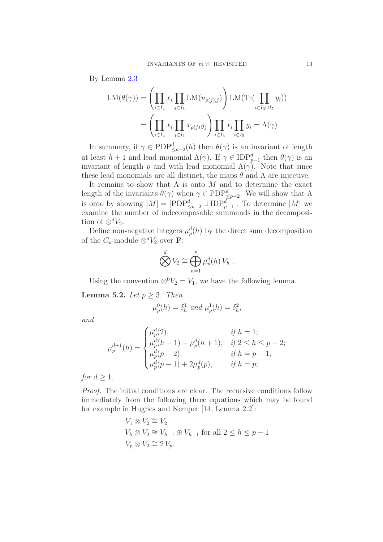By Lemma [2.3](#page-7-1)

$$
LM(\theta(\gamma)) = \left(\prod_{i \in I_4} x_i \prod_{j \in I_1} LM(u_{\rho(j),j})\right) LM(\text{Tr}(\prod_{i \in I_3 \cup I_5} y_i))
$$

$$
= \left(\prod_{i \in I_4} x_i \prod_{j \in I_1} x_{\rho(j)} y_j\right) \prod_{i \in I_3} x_i \prod_{i \in I_5} y_i = \Lambda(\gamma)
$$

In summary, if  $\gamma \in \mathrm{PDP}_{\leq p-2}^d(h)$  then  $\theta(\gamma)$  is an invariant of length at least  $h + 1$  and lead monomial  $\Lambda(\gamma)$ . If  $\gamma \in \text{IDP}_{p-1}^d$  then  $\theta(\gamma)$  is an invariant of length p and with lead monomial  $\Lambda(\gamma)$ . Note that since these lead monomials are all distinct, the maps  $\theta$  and  $\Lambda$  are injective.

It remains to show that  $\Lambda$  is onto  $M$  and to determine the exact length of the invariants  $\theta(\gamma)$  when  $\gamma \in \mathrm{PDP}^d_{\leq p-2}$ . We will show that  $\Lambda$ is onto by showing  $|M| = |PDP_{\leq p-2}^d \sqcup IDP_{p-1}^d|$ . To determine  $|M|$  we examine the number of indecomposable summands in the decomposition of  $\otimes^d V_2$ .

Define non-negative integers  $\mu_p^d(h)$  by the direct sum decomposition of the  $C_p$ -module ⊗<sup>d</sup> $V_2$  over **F**:

$$
\bigotimes^d V_2 \cong \bigoplus_{h=1}^p \mu_p^d(h) V_h .
$$

Using the convention  $\otimes^0 V_2 = V_1$ , we have the following lemma.

**Lemma 5.2.** *Let*  $p \geq 3$ *. Then* 

$$
\mu_p^0(h) = \delta_h^1 \text{ and } \mu_p^1(h) = \delta_h^2,
$$

<span id="page-13-0"></span>*and*

$$
\mu_p^{d+1}(h) = \begin{cases} \mu_p^d(2), & \text{if } h = 1; \\ \mu_p^d(h-1) + \mu_p^d(h+1), & \text{if } 2 \le h \le p-2; \\ \mu_p^d(p-2), & \text{if } h = p-1; \\ \mu_p^d(p-1) + 2\mu_p^d(p), & \text{if } h = p; \end{cases}
$$

*for*  $d > 1$ *.* 

*Proof.* The initial conditions are clear. The recursive conditions follow immediately from the following three equations which may be found for example in Hughes and Kemper [\[14,](#page-28-13) Lemma 2.2]:

$$
V_1 \otimes V_2 \cong V_2
$$
  
\n
$$
V_h \otimes V_2 \cong V_{h-1} \oplus V_{h+1} \text{ for all } 2 \le h \le p-1
$$
  
\n
$$
V_p \otimes V_2 \cong 2 V_p.
$$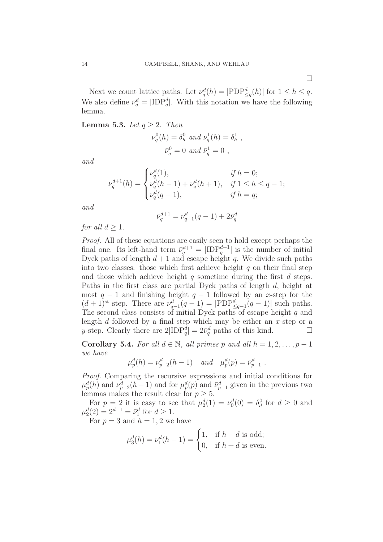Next we count lattice paths. Let  $\nu_q^d(h) = |\text{PDF}_{\leq q}^d(h)|$  for  $1 \leq h \leq q$ . We also define  $\bar{\nu}_q^d = |IDP_q^d|$ . With this notation we have the following lemma.

**Lemma 5.3.** *Let*  $q \geq 2$ *. Then* 

ν

$$
v_q^0(h) = \delta_h^0
$$
 and  $v_q^1(h) = \delta_h^1$ ,  
 $\bar{\nu}_q^0 = 0$  and  $\bar{\nu}_q^1 = 0$ ,

*and*

$$
\nu_q^{d+1}(h) = \begin{cases} \nu_q^d(1), & \text{if } h = 0; \\ \nu_q^d(h-1) + \nu_q^d(h+1), & \text{if } 1 \le h \le q-1; \\ \nu_q^d(q-1), & \text{if } h = q; \end{cases}
$$

<span id="page-14-3"></span><span id="page-14-1"></span><span id="page-14-0"></span>*and*

$$
\bar{\nu}_q^{d+1} = \nu_{q-1}^d(q-1) + 2\bar{\nu}_q^d
$$

*for all*  $d \geq 1$ *.* 

<span id="page-14-4"></span><span id="page-14-2"></span>*Proof.* All of these equations are easily seen to hold except perhaps the final one. Its left-hand term  $\bar{\nu}_q^{d+1} = |IDP_q^{d+1}|$  is the number of initial Dyck paths of length  $d+1$  and escape height q. We divide such paths into two classes: those which first achieve height  $q$  on their final step and those which achieve height  $q$  sometime during the first  $d$  steps. Paths in the first class are partial Dyck paths of length d, height at most  $q - 1$  and finishing height  $q - 1$  followed by an x-step for the  $(d+1)$ <sup>st</sup> step. There are  $\nu_{q-1}^d(q-1) = |PDP_{\leq q-1}^d(q-1)|$  such paths. The second class consists of initial Dyck paths of escape height  $q$  and length  $d$  followed by a final step which may be either an  $x$ -step or a y-step. Clearly there are  $2|\text{IDP}_q^{\tilde{d}}| = 2\bar{\nu}_q^d$  paths of this kind.

Corollary 5.4. For all  $d \in \mathbb{N}$ , all primes p and all  $h = 1, 2, \ldots, p - 1$ *we have*

$$
\mu_p^d(h) = \nu_{p-2}^d(h-1)
$$
 and  $\mu_p^d(p) = \bar{\nu}_{p-1}^d$ .

*Proof.* Comparing the recursive expressions and initial conditions for  $\mu_p^d(h)$  and  $\nu_{p-2}^d(h-1)$  and for  $\mu_p^d(p)$  and  $\bar{\nu}_{p-1}^d$  given in the previous two lemmas makes the result clear for  $p \geq 5$ .

For  $p = 2$  it is easy to see that  $\mu_2^d(1) = \nu_0^d(0) = \delta_d^0$  for  $d \geq 0$  and  $\mu_2^d(2) = 2^{d-1} = \bar{\nu}_1^d$  for  $d \ge 1$ .

For  $p = 3$  and  $h = 1, 2$  we have

$$
\mu_3^d(h) = \nu_1^d(h-1) = \begin{cases} 1, & \text{if } h+d \text{ is odd;} \\ 0, & \text{if } h+d \text{ is even.} \end{cases}
$$

 $\Box$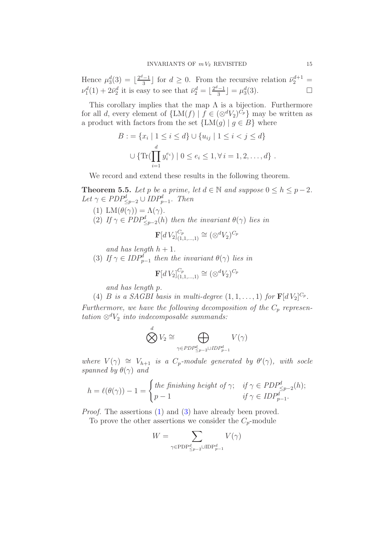Hence  $\mu_3^d(3) = \lfloor \frac{2^d - 1}{3} \rfloor$  $\frac{(-1)}{3}$  for  $d \geq 0$ . From the recursive relation  $\bar{\nu}_2^{d+1} =$  $\nu_1^d(1) + 2\bar{\nu}_2^d$  it is easy to see that  $\bar{\nu}_2^d = \lfloor \frac{2^d-1}{3} \rfloor$  $\lfloor \frac{d-1}{3} \rfloor = \mu_3^d(3).$ 

This corollary implies that the map  $\Lambda$  is a bijection. Furthermore for all d, every element of  $\{LM(f) | f \in (\otimes^d V_2)^{C_p}\}\$  may be written as a product with factors from the set  $\{LM(g) | g \in B\}$  where

$$
B := \{x_i \mid 1 \le i \le d\} \cup \{u_{ij} \mid 1 \le i < j \le d\}
$$
  

$$
\cup \{\text{Tr}(\prod_{i=1}^d y_i^{e_i}) \mid 0 \le e_i \le 1, \forall i = 1, 2, ..., d\}.
$$

We record and extend these results in the following theorem.

**Theorem 5.5.** *Let* p *be a prime, let*  $d \in \mathbb{N}$  *and suppose*  $0 \le h \le p-2$ *.*  $Let \gamma \in PDP_{\leq p-2}^d \cup IDP_{p-1}^d$ *. Then* 

- (1) LM $(\theta(\gamma)) = \Lambda(\gamma)$ .
- (2) If  $\gamma \in PDP_{\leq p-2}^d(h)$  then the invariant  $\theta(\gamma)$  lies in

$$
\mathbf{F}[d\,V_2]_{(1,1,\ldots,1)}^{C_p} \cong (\otimes^d V_2)^{C_p}
$$

*and has length*  $h + 1$ *.* 

<span id="page-15-0"></span>(3) If  $\gamma \in IDP_{p-1}^d$  then the invariant  $\theta(\gamma)$  lies in

$$
\mathbf{F}[d\,V_2]_{(1,1,...,1)}^{C_p} \cong (\otimes^d V_2)^{C_p}
$$

*and has length* p*.*

(4) *B* is a SAGBI basis in multi-degree  $(1, 1, \ldots, 1)$  for  $\mathbf{F}[dV_2]^{C_p}$ .

Furthermore, we have the following decomposition of the  $C_p$  represen $tation \otimes^d V_2$  *into indecomposable summands:* 

$$
\bigotimes^d V_2 \cong \bigoplus_{\gamma \in PDP_{\leq p-2}^d \cup IDP_{p-1}^d} V(\gamma)
$$

*where*  $V(\gamma) \cong V_{h+1}$  *is a C<sub>p</sub>-module generated by*  $\theta'(\gamma)$ *, with socle spanned by*  $\theta(\gamma)$  *and* 

$$
h = \ell(\theta(\gamma)) - 1 = \begin{cases} the \text{ finishing height of } \gamma; & \text{if } \gamma \in PDP_{\leq p-2}^d(h); \\ p-1 & \text{if } \gamma \in IDP_{p-1}^d. \end{cases}
$$

*Proof.* The assertions [\(1\)](#page-14-1) and [\(3\)](#page-14-2) have already been proved.

To prove the other assertions we consider the  $C_p$ -module

$$
W = \sum_{\gamma \in \mathrm{PDP}^d_{\leq p-2} \cup \mathrm{IDP}^d_{p-1}} V(\gamma)
$$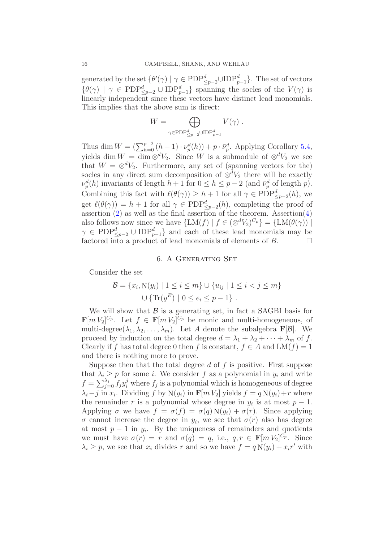generated by the set  $\{\theta'(\gamma) \mid \gamma \in \mathrm{PDP}^d_{\leq p-2} \cup \mathrm{IDP}^d_{p-1}\}.$  The set of vectors  $\{\theta(\gamma) \mid \gamma \in \mathrm{PDP}^d_{\leq p-2} \cup \mathrm{IDP}^d_{p-1}\}\$  spanning the socles of the  $V(\gamma)$  is linearly independent since these vectors have distinct lead monomials. This implies that the above sum is direct:

$$
W = \bigoplus_{\gamma \in \mathrm{PDP}^d_{\leq p-2} \cup \mathrm{IDP}^d_{p-1}} V(\gamma) .
$$

Thus dim  $W = (\sum_{h=0}^{p-2} (h+1) \cdot \nu_p^d(h)) + p \cdot \bar{\nu}_p^d$ . Applying Corollary [5.4,](#page-13-0) yields dim  $W = \dim \otimes^d V_2$ . Since W is a submodule of  $\otimes^d V_2$  we see that  $W = \otimes^d V_2$ . Furthermore, any set of (spanning vectors for the) socles in any direct sum decomposition of  $\otimes^d V_2$  there will be exactly  $\nu_p^d(h)$  invariants of length  $h+1$  for  $0 \leq h \leq p-2$  (and  $\bar{\nu}_p^d$  of length p). Combining this fact with  $\ell(\theta(\gamma)) \geq h + 1$  for all  $\gamma \in \mathrm{PDP}^d_{\leq p-2}(h)$ , we get  $\ell(\theta(\gamma)) = h + 1$  for all  $\gamma \in \mathrm{PDP}^d_{\leq p-2}(h)$ , completing the proof of assertion  $(2)$  as well as the final assertion of the theorem. Assertion $(4)$ also follows now since we have  $\{LM(f) | f \in (\otimes^d V_2)^{C_p}\} = \{LM(\theta(\gamma)) |$  $\gamma \in \mathrm{PDP}^d_{\leq p-2} \cup \mathrm{IDP}^d_{p-1}$  and each of these lead monomials may be factored into a product of lead monomials of elements of B.

#### 6. A Generating Set

Consider the set

$$
\mathcal{B} = \{x_i, N(y_i) \mid 1 \le i \le m\} \cup \{u_{ij} \mid 1 \le i < j \le m\}
$$

$$
\cup \{\text{Tr}(y^E) \mid 0 \le e_i \le p - 1\}.
$$

We will show that  $\beta$  is a generating set, in fact a SAGBI basis for  $\mathbf{F}[m V_2]^{C_p}$ . Let  $f \in \mathbf{F}[m V_2]^{C_p}$  be monic and multi-homogeneous, of multi-degree $(\lambda_1, \lambda_2, \ldots, \lambda_m)$ . Let A denote the subalgebra **F**[B]. We proceed by induction on the total degree  $d = \lambda_1 + \lambda_2 + \cdots + \lambda_m$  of f. Clearly if f has total degree 0 then f is constant,  $f \in A$  and  $LM(f) = 1$ and there is nothing more to prove.

Suppose then that the total degree  $d$  of  $f$  is positive. First suppose that  $\lambda_i \geq p$  for some *i*. We consider f as a polynomial in  $y_i$  and write  $f = \sum_{j=0}^{\lambda_i} f_j y_i^j$  where  $f_j$  is a polynomial which is homogeneous of degree  $\lambda_i - j$  in  $x_i$ . Dividing f by N(y<sub>i</sub>) in **F**[m  $V_2$ ] yields  $f = q N(y_i) + r$  where the remainder r is a polynomial whose degree in  $y_i$  is at most  $p-1$ . Applying  $\sigma$  we have  $f = \sigma(f) = \sigma(q) N(y_i) + \sigma(r)$ . Since applying  $\sigma$  cannot increase the degree in  $y_i$ , we see that  $\sigma(r)$  also has degree at most  $p-1$  in  $y_i$ . By the uniqueness of remainders and quotients we must have  $\sigma(r) = r$  and  $\sigma(q) = q$ , i.e.,  $q, r \in \mathbf{F}[m V_2]^{C_p}$ . Since  $\lambda_i \geq p$ , we see that  $x_i$  divides r and so we have  $f = q N(y_i) + x_i r'$  with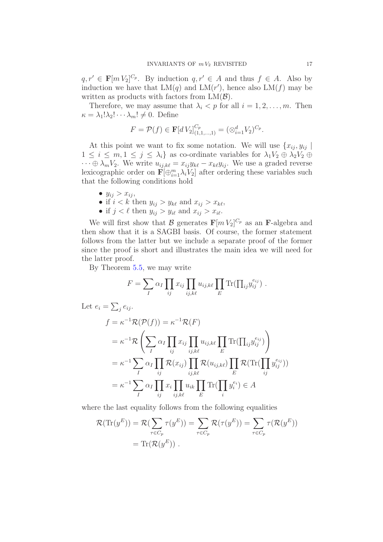$q, r' \in \mathbf{F}[m V_2]^{C_p}$ . By induction  $q, r' \in A$  and thus  $f \in A$ . Also by induction we have that  $LM(q)$  and  $LM(r')$ , hence also  $LM(f)$  may be written as products with factors from  $LM(\mathcal{B})$ .

<span id="page-17-0"></span>Therefore, we may assume that  $\lambda_i < p$  for all  $i = 1, 2, \ldots, m$ . Then  $\kappa = \lambda_1! \lambda_2! \cdots \lambda_m! \neq 0$ . Define

$$
F = \mathcal{P}(f) \in \mathbf{F}[dV_2]_{(1,1,\dots,1)}^{C_p} = (\otimes_{i=1}^d V_2)^{C_p}.
$$

At this point we want to fix some notation. We will use  $\{x_{ij}, y_{ij}\}$  $1 \leq i \leq m, 1 \leq j \leq \lambda_i$  as co-ordinate variables for  $\lambda_1 V_2 \oplus \lambda_2 V_2 \oplus$  $\cdots \oplus \lambda_m V_2$ . We write  $u_{ij,k\ell} = x_{ij}y_{k\ell} - x_{k\ell}y_{ij}$ . We use a graded reverse lexicographic order on  $\mathbf{F}[\bigoplus_{i=1}^{m} \lambda_i V_2]$  after ordering these variables such that the following conditions hold

- $y_{ij} > x_{ij}$
- if  $i < k$  then  $y_{ij} > y_{k\ell}$  and  $x_{ij} > x_{k\ell}$ ,
- if  $j < \ell$  then  $y_{ij} > y_{i\ell}$  and  $x_{ij} > x_{i\ell}$ .

We will first show that  $\mathcal B$  generates  $\mathbf F[m V_2]^{C_p}$  as an F-algebra and then show that it is a SAGBI basis. Of course, the former statement follows from the latter but we include a separate proof of the former since the proof is short and illustrates the main idea we will need for the latter proof.

By Theorem [5.5,](#page-14-0) we may write

$$
F = \sum_{I} \alpha_I \prod_{ij} x_{ij} \prod_{ij,k\ell} u_{ij,k\ell} \prod_{E} \text{Tr}(\prod_{ij} y_{ij}^{e_{ij}}).
$$

Let  $e_i = \sum_j e_{ij}$ .

$$
f = \kappa^{-1} \mathcal{R}(\mathcal{P}(f)) = \kappa^{-1} \mathcal{R}(F)
$$
  
\n
$$
= \kappa^{-1} \mathcal{R} \left( \sum_{I} \alpha_{I} \prod_{ij} x_{ij} \prod_{ij,k\ell} u_{ij,k\ell} \prod_{E} \text{Tr}(\prod_{ij} y_{ij}^{e_{ij}}) \right)
$$
  
\n
$$
= \kappa^{-1} \sum_{I} \alpha_{I} \prod_{ij} \mathcal{R}(x_{ij}) \prod_{ij,k\ell} \mathcal{R}(u_{ij,k\ell}) \prod_{E} \mathcal{R}(\text{Tr}(\prod_{ij} y_{ij}^{e_{ij}}))
$$
  
\n
$$
= \kappa^{-1} \sum_{I} \alpha_{I} \prod_{ij} x_{i} \prod_{ij,k\ell} u_{ik} \prod_{E} \text{Tr}(\prod_{i} y_{i}^{e_{i}}) \in A
$$

where the last equality follows from the following equalities

$$
\mathcal{R}(\text{Tr}(y^E)) = \mathcal{R}(\sum_{\tau \in C_p} \tau(y^E)) = \sum_{\tau \in C_p} \mathcal{R}(\tau(y^E)) = \sum_{\tau \in C_p} \tau(\mathcal{R}(y^E))
$$

$$
= \text{Tr}(\mathcal{R}(y^E)).
$$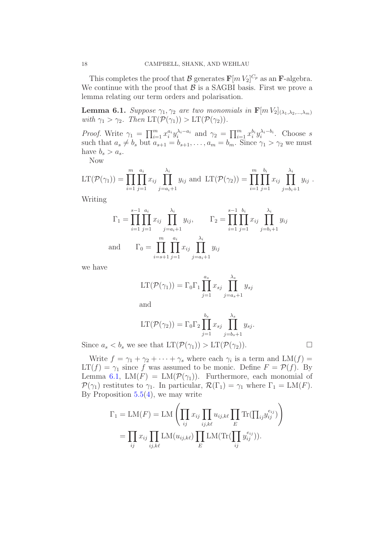This completes the proof that  $\mathcal B$  generates  $\mathbf F[m V_2]^{C_p}$  as an **F**-algebra. We continue with the proof that  $\beta$  is a SAGBI basis. First we prove a lemma relating our term orders and polarisation.

**Lemma 6.1.** *Suppose*  $\gamma_1, \gamma_2$  *are two monomials in*  $\mathbf{F}[m V_2]_{(\lambda_1, \lambda_2, ..., \lambda_m)}$ *with*  $\gamma_1 > \gamma_2$ *. Then*  $LT(\mathcal{P}(\gamma_1)) > LT(\mathcal{P}(\gamma_2))$ *.* 

*Proof.* Write  $\gamma_1 = \prod_{i=1}^m x_i^{a_i} y_i^{\lambda_i-a_i}$  and  $\gamma_2 = \prod_{i=1}^m x_i^{b_i} y_i^{\lambda_i-b_i}$ . Choose s such that  $a_s \neq b_s$  but  $a_{s+1} = b_{s+1}, \ldots, a_m = b_m$ . Since  $\gamma_1 > \gamma_2$  we must have  $b_s > a_s$ .

Now

$$
LT(\mathcal{P}(\gamma_1)) = \prod_{i=1}^m \prod_{j=1}^{a_i} x_{ij} \prod_{j=a_i+1}^{\lambda_i} y_{ij} \text{ and } LT(\mathcal{P}(\gamma_2)) = \prod_{i=1}^m \prod_{j=1}^{b_i} x_{ij} \prod_{j=b_i+1}^{\lambda_i} y_{ij}.
$$

<span id="page-18-0"></span>Writing

$$
\Gamma_1 = \prod_{i=1}^{s-1} \prod_{j=1}^{a_i} x_{ij} \prod_{j=a_i+1}^{\lambda_i} y_{ij}, \qquad \Gamma_2 = \prod_{i=1}^{s-1} \prod_{j=1}^{b_i} x_{ij} \prod_{j=b_i+1}^{\lambda_i} y_{ij}
$$
  
and 
$$
\Gamma_0 = \prod_{i=s+1}^{m} \prod_{j=1}^{a_i} x_{ij} \prod_{j=a_i+1}^{\lambda_i} y_{ij}
$$

we have

$$
LT(\mathcal{P}(\gamma_1)) = \Gamma_0 \Gamma_1 \prod_{j=1}^{a_s} x_{sj} \prod_{j=a_s+1}^{\lambda_s} y_{sj}
$$

and

$$
LT(\mathcal{P}(\gamma_2)) = \Gamma_0 \Gamma_2 \prod_{j=1}^{b_s} x_{sj} \prod_{j=b_s+1}^{\lambda_s} y_{sj}.
$$

Since  $a_s < b_s$  we see that  $LT(\mathcal{P}(\gamma_1)) > LT(\mathcal{P}(\gamma_2))$ .

Write  $f = \gamma_1 + \gamma_2 + \cdots + \gamma_s$  where each  $\gamma_i$  is a term and  $LM(f)$  $LT(f) = \gamma_1$  since f was assumed to be monic. Define  $F = \mathcal{P}(f)$ . By Lemma [6.1,](#page-17-0) LM(F) = LM( $\mathcal{P}(\gamma_1)$ ). Furthermore, each monomial of  $\mathcal{P}(\gamma_1)$  restitutes to  $\gamma_1$ . In particular,  $\mathcal{R}(\Gamma_1) = \gamma_1$  where  $\Gamma_1 = LM(F)$ . By Proposition  $5.5(4)$  $5.5(4)$ , we may write

$$
\Gamma_1 = \text{LM}(F) = \text{LM}\left(\prod_{ij} x_{ij} \prod_{ij,k\ell} u_{ij,k\ell} \prod_E \text{Tr}(\prod_{ij} y_{ij}^{e_{ij}})\right)
$$

$$
= \prod_{ij} x_{ij} \prod_{ij,k\ell} \text{LM}(u_{ij,k\ell}) \prod_E \text{LM}(\text{Tr}(\prod_{ij} y_{ij}^{e_{ij}})).
$$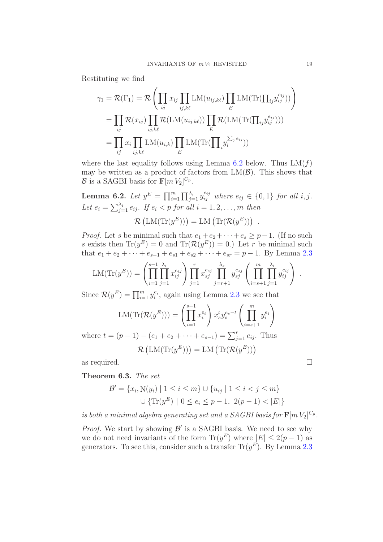Restituting we find

$$
\gamma_1 = \mathcal{R}(\Gamma_1) = \mathcal{R} \left( \prod_{ij} x_{ij} \prod_{ij,k\ell} LM(u_{ij,k\ell}) \prod_E LM(\text{Tr}(\prod_{ij} y_{ij}^{e_{ij}})) \right)
$$
  
\n
$$
= \prod_{ij} \mathcal{R}(x_{ij}) \prod_{ij,k\ell} \mathcal{R}(LM(u_{ij,k\ell})) \prod_E \mathcal{R}(LM(\text{Tr}(\prod_{ij} y_{ij}^{e_{ij}})))
$$
  
\n
$$
= \prod_{ij} x_i \prod_{ij,k\ell} LM(u_{i,k}) \prod_E LM(\text{Tr}(\prod_i y_i^{\sum_j e_{ij}}))
$$

where the last equality follows using Lemma [6.2](#page-18-0) below. Thus  $LM(f)$ may be written as a product of factors from  $LM(\mathcal{B})$ . This shows that  $\mathcal{B}$  is a SAGBI basis for  $\mathbf{F}[m V_2]^{C_p}$ .

**Lemma 6.2.** Let  $y^E = \prod_{i=1}^m \prod_{j=1}^{\lambda_i} y_{ij}^{e_{ij}}$  where  $e_{ij} \in \{0,1\}$  for all i, j. Let  $e_i = \sum_{j=1}^{\lambda_i} e_{ij}$ . If  $e_i < p$  for all  $i = 1, 2, \ldots, m$  then

$$
\mathcal{R}\left(\text{LM}(\text{Tr}(y^E))\right) = \text{LM}\left(\text{Tr}(\mathcal{R}(y^E))\right) .
$$

*Proof.* Let s be minimal such that  $e_1 + e_2 + \cdots + e_s \geq p-1$ . (If no such s exists then  $\text{Tr}(y^E) = 0$  and  $\text{Tr}(\mathcal{R}(y^E)) = 0$ .) Let r be minimal such that  $e_1 + e_2 + \cdots + e_{s-1} + e_{s1} + e_{s2} + \cdots + e_{sr} = p - 1$ . By Lemma [2.3](#page-7-1)

$$
LM(Tr(y^{E})) = \left(\prod_{i=1}^{s-1} \prod_{j=1}^{\lambda_i} x_{ij}^{e_{ij}}\right) \prod_{j=1}^{r} x_{sj}^{e_{sj}} \prod_{j=r+1}^{\lambda_s} y_{sj}^{e_{sj}} \left(\prod_{i=s+1}^{m} \prod_{j=1}^{\lambda_i} y_{ij}^{e_{ij}}\right).
$$

Since  $\mathcal{R}(y^E) = \prod_{i=1}^m y_i^{e_i}$ , again using Lemma [2.3](#page-7-1) we see that

$$
LM(\text{Tr}(\mathcal{R}(y^E))) = \left(\prod_{i=1}^{s-1} x_i^{e_i}\right) x_s^t y_s^{e_s - t} \left(\prod_{i=s+1}^m y_i^{e_i}\right)
$$

where  $t = (p - 1) - (e_1 + e_2 + \cdots + e_{s-1}) = \sum_{j=1}^r e_{ij}$ . Thus  $\mathcal{R}\left(\text{LM}(\text{Tr}(y^E))\right) = \text{LM}\left(\text{Tr}(\mathcal{R}(y^E))\right)$ 

as required.  $\Box$ 

Theorem 6.3. *The set*

$$
\mathcal{B}' = \{x_i, N(y_i) \mid 1 \le i \le m\} \cup \{u_{ij} \mid 1 \le i < j \le m\}
$$

$$
\cup \{\text{Tr}(y^E) \mid 0 \le e_i \le p - 1, 2(p - 1) < |E|\}
$$

*is both a minimal algebra generating set and a SAGBI basis for*  $\mathbf{F}[m\,V_2]^{C_p}$ .

*Proof.* We start by showing  $\mathcal{B}'$  is a SAGBI basis. We need to see why we do not need invariants of the form  $\text{Tr}(y^E)$  where  $|E| \leq 2(p-1)$  as generators. To see this, consider such a transfer  $\text{Tr}(y^E)$ . By Lemma [2.3](#page-7-1)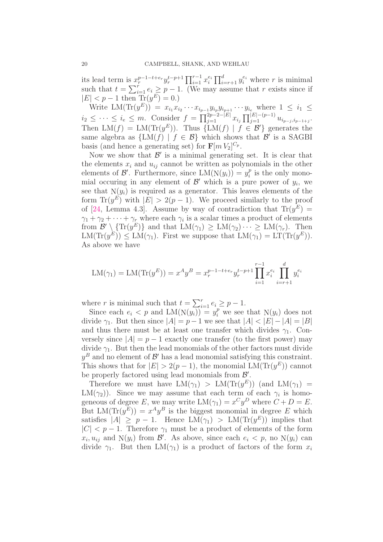its lead term is  $x_r^{p-1-t+e_r} y_r^{t-p+1} \prod_{i=1}^{r-1} x_i^{e_i} \prod_{i=r+1}^d y_i^{e_i}$  where r is minimal such that  $t = \sum_{i=1}^r e_i \geq p-1$ . (We may assume that r exists since if  $|E| < p - 1$  then  $\text{Tr}(y^E) = 0.$ 

<span id="page-20-0"></span>Write LM(Tr( $y^E$ )) =  $x_{i_1}x_{i_2}\cdots x_{i_{p-1}}y_{i_p}y_{i_{p+1}}\cdots y_{i_e}$  where  $1 \leq i_1 \leq i_2$  $i_2 \leq \cdots \leq i_e \leq m.$  Consider  $f = \prod_{j=1}^{2p-2-|E|} x_{i_j} \prod_{j=1}^{|E|-(p-1)} u_{i_{p-j},i_{p-1+j}}.$ Then  $LM(f) = LM(Tr(y^E))$ . Thus  ${LM(f) | f \in \mathcal{B}' }$  generates the same algebra as  $\{LM(f) | f \in \mathcal{B}\}\$  which shows that  $\mathcal{B}'$  is a SAGBI basis (and hence a generating set) for  $\mathbf{F}[m V_2]^{C_p}$ .

Now we show that  $\mathcal{B}'$  is a minimal generating set. It is clear that the elements  $x_i$  and  $u_{ij}$  cannot be written as polynomials in the other elements of  $\mathcal{B}'$ . Furthermore, since  $LM(N(y_i)) = y_i^p$  $i$ <sup>*p*</sup> is the only monomial occuring in any element of  $\mathcal{B}'$  which is a pure power of  $y_i$ , we see that  $N(y_i)$  is required as a generator. This leaves elements of the form  $\text{Tr}(y^E)$  with  $|E| > 2(p-1)$ . We proceed similarly to the proof of [\[24,](#page-28-1) Lemma 4.3]. Assume by way of contradiction that  $\text{Tr}(y^E) =$  $\gamma_1 + \gamma_2 + \cdots + \gamma_r$  where each  $\gamma_i$  is a scalar times a product of elements from  $\mathcal{B}' \setminus {\text{Tr}(y^E)}$  and that  $LM(\gamma_1) \geq LM(\gamma_2) \cdots \geq LM(\gamma_r)$ . Then  $LM(Tr(y^E)) \le LM(\gamma_1)$ . First we suppose that  $LM(\gamma_1) = LT(Tr(y^E))$ . As above we have

$$
LM(\gamma_1) = LM(Tr(y^E)) = x^A y^B = x_r^{p-1-t+e_r} y_r^{t-p+1} \prod_{i=1}^{r-1} x_i^{e_i} \prod_{i=r+1}^d y_i^{e_i}
$$

where r is minimal such that  $t = \sum_{i=1}^{r} e_i \geq p - 1$ .

Since each  $e_i < p$  and  $LM(N(y_i)) = y_i^p$  we see that  $N(y_i)$  does not divide  $\gamma_1$ . But then since  $|A| = p - 1$  we see that  $|A| < |E| - |A| = |B|$ and thus there must be at least one transfer which divides  $\gamma_1$ . Conversely since  $|A| = p - 1$  exactly one transfer (to the first power) may divide  $\gamma_1$ . But then the lead monomials of the other factors must divide  $y^B$  and no element of  $\mathcal{B}'$  has a lead monomial satisfying this constraint. This shows that for  $|E| > 2(p-1)$ , the monomial LM(Tr $(y^E)$ ) cannot be properly factored using lead monomials from  $\mathcal{B}'$ .

Therefore we must have  $LM(\gamma_1) > LM(Tr(y^E))$  (and  $LM(\gamma_1)$  = LM( $\gamma_2$ ). Since we may assume that each term of each  $\gamma_i$  is homogeneous of degree E, we may write  $LM(\gamma_1) = x^C y^D$  where  $C + D = E$ . But  $LM(Tr(y^E)) = x^A y^B$  is the biggest monomial in degree E which satisfies  $|A| \geq p - 1$ . Hence  $LM(\gamma_1) > LM(Tr(y^E))$  implies that  $|C|$  < p – 1. Therefore  $\gamma_1$  must be a product of elements of the form  $x_i, u_{ij}$  and  $N(y_i)$  from  $\mathcal{B}'$ . As above, since each  $e_i < p$ , no  $N(y_i)$  can divide  $\gamma_1$ . But then LM( $\gamma_1$ ) is a product of factors of the form  $x_i$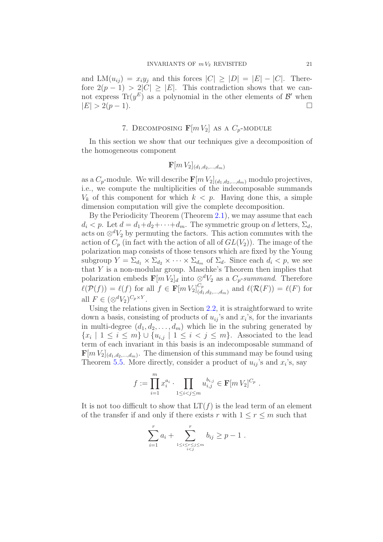and  $LM(u_{ij}) = x_i y_j$  and this forces  $|C| \geq |D| = |E| - |C|$ . Therefore  $2(p-1) > 2|C| \geq |E|$ . This contradiction shows that we cannot express  $\text{Tr}(y^E)$  as a polynomial in the other elements of  $\mathcal{B}'$  when  $|E| > 2(p-1).$ 

### 7. DECOMPOSING  $\mathbf{F}[m V_2]$  as a  $C_p$ -module

In this section we show that our techniques give a decomposition of the homogeneous component

$$
\mathbf{F}[m\,V_2]_{(d_1,d_2,...,d_m)}
$$

as a  $C_p$ -module. We will describe  $\mathbf{F}[m V_2]_{(d_1,d_2,...,d_m)}$  modulo projectives, i.e., we compute the multiplicities of the indecomposable summands  $V_k$  of this component for which  $k < p$ . Having done this, a simple dimension computation will give the complete decomposition.

By the Periodicity Theorem (Theorem [2.1\)](#page-5-1), we may assume that each  $d_i < p$ . Let  $d = d_1 + d_2 + \cdots + d_m$ . The symmetric group on d letters,  $\Sigma_d$ , acts on  $\otimes^d V_2$  by permuting the factors. This action commutes with the action of  $C_p$  (in fact with the action of all of  $GL(V_2)$ ). The image of the polarization map consists of those tensors which are fixed by the Young subgroup  $Y = \Sigma_{d_1} \times \Sigma_{d_2} \times \cdots \times \Sigma_{d_m}$  of  $\Sigma_d$ . Since each  $d_i < p$ , we see that Y is a non-modular group. Maschke's Theorem then implies that polarization embeds  $\mathbf{F}[m] \check{V}_2]_d$  into  $\otimes^d V_2$  as a  $C_p$ -summand. Therefore  $\ell(\mathcal{P}(f)) = \ell(f)$  for all  $f \in \mathbf{F}[m]_{d}^{C_p}$  $\overset{\mathcal{C}_{p}}{_{(d_1,d_2,...,d_m)}}$  and  $\ell(\mathcal{R}(F)) = \ell(F)$  for all  $F \in (\otimes^d V_2)^{C_p \times Y}$ .

Using the relations given in Section [2.2,](#page-5-0) it is straightforward to write down a basis, consisting of products of  $u_{ij}$ 's and  $x_i$ 's, for the invariants in multi-degree  $(d_1, d_2, \ldots, d_m)$  which lie in the subring generated by  $\{x_i \mid 1 \leq i \leq m\} \cup \{u_{i,j} \mid 1 \leq i < j \leq m\}.$  Associated to the lead term of each invariant in this basis is an indecomposable summand of  $\mathbf{F}[m V_2]_{(d_1, d_2, \ldots, d_m)}$ . The dimension of this summand may be found using Theorem [5.5.](#page-14-0) More directly, consider a product of  $u_{ij}$ 's and  $x_i$ 's, say

$$
f := \prod_{i=1}^m x_i^{a_i} \cdot \prod_{1 \le i < j \le m} u_{i,j}^{b_{i,j}} \in \mathbf{F}[m]V_2]^{C_p} .
$$

It is not too difficult to show that  $LT(f)$  is the lead term of an element of the transfer if and only if there exists r with  $1 \le r \le m$  such that

$$
\sum_{i=1}^{r} a_i + \sum_{1 \le i \le r \le j \le m \atop i < j}^{r} b_{ij} \ge p - 1 \; .
$$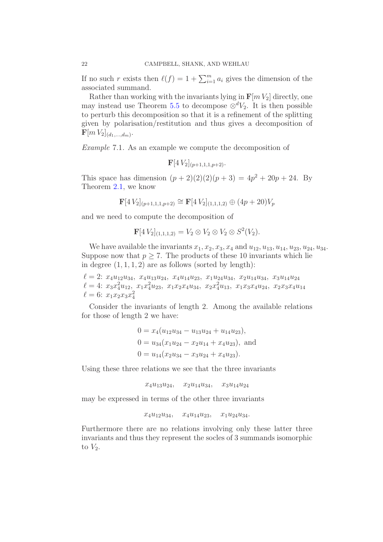If no such r exists then  $\ell(f) = 1 + \sum_{i=1}^{m} a_i$  gives the dimension of the associated summand.

Rather than working with the invariants lying in  $\mathbf{F}[m V_2]$  directly, one may instead use Theorem [5.5](#page-14-0) to decompose  $\otimes^d V_2$ . It is then possible to perturb this decomposition so that it is a refinement of the splitting given by polarisation/restitution and thus gives a decomposition of  $\mathbf{F}[m\,V_2]_{(d_1,...,d_m)}.$ 

*Example* 7.1*.* As an example we compute the decomposition of

 $\mathbf{F}[4V_2]_{(p+1,1,1,p+2)}$ .

This space has dimension  $(p+2)(2)(2)(p+3) = 4p^2 + 20p + 24$ . By Theorem [2.1,](#page-5-1) we know

$$
\mathbf{F}[4 V_2]_{(p+1,1,1,p+2)} \cong \mathbf{F}[4 V_2]_{(1,1,1,2)} \oplus (4p+20) V_p
$$

and we need to compute the decomposition of

$$
\mathbf{F}[4 V_2]_{(1,1,1,2)} = V_2 \otimes V_2 \otimes V_2 \otimes S^2(V_2).
$$

We have available the invariants  $x_1, x_2, x_3, x_4$  and  $u_{12}, u_{13}, u_{14}, u_{23}, u_{24}, u_{34}$ . Suppose now that  $p \geq 7$ . The products of these 10 invariants which lie in degree  $(1, 1, 1, 2)$  are as follows (sorted by length):

 $\ell = 2$ :  $x_4u_{12}u_{34}$ ,  $x_4u_{13}u_{24}$ ,  $x_4u_{14}u_{23}$ ,  $x_1u_{24}u_{34}$ ,  $x_2u_{14}u_{34}$ ,  $x_3u_{14}u_{24}$  $\ell = 4$ :  $x_3 x_4^2 u_{12}$ ,  $x_1 x_4^2 u_{23}$ ,  $x_1 x_2 x_4 u_{34}$ ,  $x_2 x_4^2 u_{13}$ ,  $x_1 x_3 x_4 u_{24}$ ,  $x_2 x_3 x_4 u_{14}$  $\ell = 6$ :  $x_1 x_2 x_3 x_4^2$ 

Consider the invariants of length 2. Among the available relations for those of length 2 we have:

$$
0 = x_4(u_{12}u_{34} - u_{13}u_{24} + u_{14}u_{23}),
$$
  
\n
$$
0 = u_{34}(x_1u_{24} - x_2u_{14} + x_4u_{23}),
$$
 and  
\n
$$
0 = u_{14}(x_2u_{34} - x_3u_{24} + x_4u_{23}).
$$

Using these three relations we see that the three invariants

 $x_4u_{13}u_{24}$ ,  $x_2u_{14}u_{34}$ ,  $x_3u_{14}u_{24}$ 

may be expressed in terms of the other three invariants

 $x_4u_{12}u_{34}$ ,  $x_4u_{14}u_{23}$ ,  $x_1u_{24}u_{34}$ .

Furthermore there are no relations involving only these latter three invariants and thus they represent the socles of 3 summands isomorphic to  $V_2$ .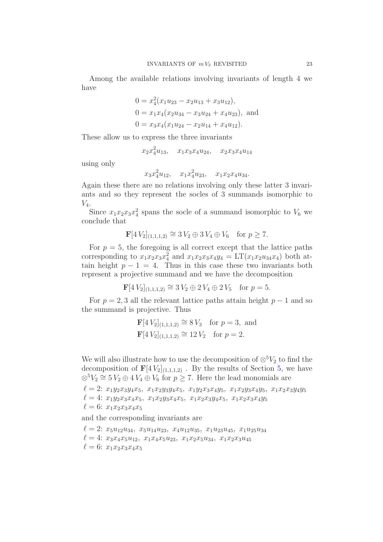Among the available relations involving invariants of length 4 we have

$$
0 = x_4^2(x_1u_{23} - x_2u_{13} + x_3u_{12}),
$$
  
\n
$$
0 = x_1x_4(x_2u_{34} - x_3u_{24} + x_4u_{23}),
$$
 and  
\n
$$
0 = x_3x_4(x_1u_{24} - x_2u_{14} + x_4u_{12}).
$$

These allow us to express the three invariants

 $x_2x_4^2u_{13}$ ,  $x_1x_3x_4u_{24}$ ,  $x_2x_3x_4u_{14}$ 

using only

 $x_3x_4^2u_{12}, \quad x_1x_4^2u_{23}, \quad x_1x_2x_4u_{34}.$ 

Again these there are no relations involving only these latter 3 invariants and so they represent the socles of 3 summands isomorphic to  $V_4$ .

Since  $x_1x_2x_3x_4^2$  spans the socle of a summand isomorphic to  $V_6$  we conclude that

$$
\mathbf{F}[4V_2]_{(1,1,1,2)} \cong 3V_2 \oplus 3V_4 \oplus V_6 \text{ for } p \ge 7.
$$

For  $p = 5$ , the foregoing is all correct except that the lattice paths corresponding to  $x_1x_2x_3x_4^2$  and  $x_1x_2x_3x_4y_4 = LT(x_1x_2u_34x_4)$  both attain height  $p - 1 = 4$ . Thus in this case these two invariants both represent a projective summand and we have the decomposition

 $\mathbf{F}[4 V_2]_{(1,1,1,2)} \cong 3 V_2 \oplus 2 V_4 \oplus 2 V_5$  for  $p = 5$ .

For  $p = 2, 3$  all the relevant lattice paths attain height  $p - 1$  and so the summand is projective. Thus

$$
\mathbf{F}[4 V_2]_{(1,1,1,2)} \cong 8 V_3
$$
 for  $p = 3$ , and  
\n $\mathbf{F}[4 V_2]_{(1,1,1,2)} \cong 12 V_2$  for  $p = 2$ .

<span id="page-23-0"></span>We will also illustrate how to use the decomposition of  $\otimes^5 V_2$  to find the decomposition of  $\mathbf{F}[4V_2]_{(1,1,1,2)}$ . By the results of Section [5,](#page-10-0) we have  $\otimes$ <sup>5</sup> $V_2 \cong$  5 $V_2 \oplus$  4 $V_4 \oplus V_6$  for  $p \geq$  7. Here the lead monomials are

```
\ell = 2: x_1y_2x_3y_4x_5, x_1x_2y_3y_4x_5, x_1y_2x_3x_4y_5, x_1x_2y_3x_4y_5, x_1x_2x_3y_4y_5\ell = 4: x_1y_2x_3x_4x_5, x_1x_2y_3x_4x_5, x_1x_2x_3y_4x_5, x_1x_2x_3x_4y_5\ell = 6: x_1x_2x_3x_4x_5
```
and the corresponding invariants are

 $\ell = 2$ :  $x_5u_{12}u_{34}$ ,  $x_5u_{14}u_{23}$ ,  $x_4u_{12}u_{35}$ ,  $x_1u_{23}u_{45}$ ,  $x_1u_{25}u_{34}$  $\ell = 4: x_3x_4x_5u_{12}, x_1x_4x_5u_{23}, x_1x_2x_5u_{34}, x_1x_2x_3u_{45}$  $\ell = 6$ :  $x_1x_2x_3x_4x_5$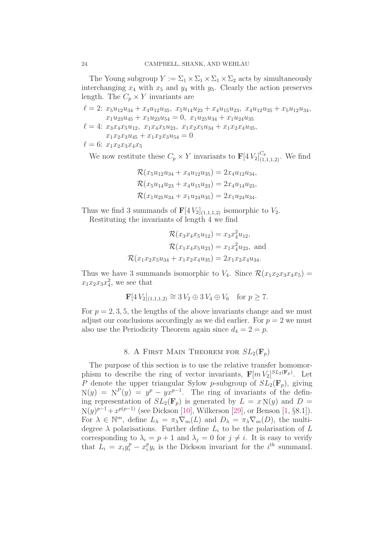The Young subgroup  $Y := \Sigma_1 \times \Sigma_1 \times \Sigma_1 \times \Sigma_2$  acts by simultaneously interchanging  $x_4$  with  $x_5$  and  $y_4$  with  $y_5$ . Clearly the action preserves length. The  $C_p \times Y$  invariants are

 $\ell = 2$ :  $x_5u_{12}u_{34} + x_4u_{12}u_{35}$ ,  $x_5u_{14}u_{23} + x_4u_{15}u_{23}$ ,  $x_4u_{12}u_{35} + x_5u_{12}u_{34}$ ,  $x_1u_{23}u_{45} + x_1u_{23}u_{54} = 0$ ,  $x_1u_{25}u_{34} + x_1u_{24}u_{35}$  $\ell = 4$ :  $x_3x_4x_5u_{12}$ ,  $x_1x_4x_5u_{23}$ ,  $x_1x_2x_5u_{34} + x_1x_2x_4u_{35}$  $x_1x_2x_3u_{45} + x_1x_2x_3u_{54} = 0$  $\ell = 6: x_1x_2x_3x_4x_5$ 

<span id="page-24-0"></span>We now restitute these  $C_p \times Y$  invariants to  $\mathbf{F}[4V_2]_{(1,1,1,2)}^{C_p}$ . We find

$$
\mathcal{R}(x_5u_{12}u_{34} + x_4u_{12}u_{35}) = 2x_4u_{12}u_{34},
$$
  
\n
$$
\mathcal{R}(x_5u_{14}u_{23} + x_4u_{15}u_{23}) = 2x_4u_{14}u_{23},
$$
  
\n
$$
\mathcal{R}(x_1u_{25}u_{34} + x_1u_{24}u_{35}) = 2x_1u_{24}u_{34}.
$$

Thus we find 3 summands of  $\mathbf{F}[4V_2]_{(1,1,1,2)}$  isomorphic to  $V_2$ . Restituting the invariants of length 4 we find

$$
\mathcal{R}(x_3x_4x_5u_{12}) = x_3x_4^2u_{12},
$$
  
\n
$$
\mathcal{R}(x_1x_4x_5u_{23}) = x_1x_4^2u_{23},
$$
 and  
\n
$$
\mathcal{R}(x_1x_2x_5u_{34} + x_1x_2x_4u_{35}) = 2x_1x_2x_4u_{34}.
$$

Thus we have 3 summands isomorphic to  $V_4$ . Since  $\mathcal{R}(x_1x_2x_3x_4x_5)$  =  $x_1x_2x_3x_4^2$ , we see that

$$
\mathbf{F}[4 V_2]_{(1,1,1,2)} \cong 3 V_2 \oplus 3 V_4 \oplus V_6 \text{ for } p \ge 7.
$$

<span id="page-24-1"></span>For  $p = 2, 3, 5$ , the lengths of the above invariants change and we must adjust our conclusions accordingly as we did earlier. For  $p = 2$  we must also use the Periodicity Theorem again since  $d_4 = 2 = p$ .

#### 8. A FIRST MAIN THEOREM FOR  $SL_2(\mathbf{F}_p)$

The purpose of this section is to use the relative transfer homomorphism to describe the ring of vector invariants,  $\mathbf{F}[m V_2]^{SL_2(\mathbf{F}_p)}$ . Let P denote the upper triangular Sylow p-subgroup of  $SL_2(\mathbf{F}_p)$ , giving  $N(y) = N^P(y) = y^p - yx^{p-1}$ . The ring of invariants of the defining representation of  $SL_2(\mathbf{F}_p)$  is generated by  $L = x N(y)$  and  $D =$  $N(y)^{p-1}+x^{p(p-1)}$  (see Dickson [\[10\]](#page-28-19), Wilkerson [\[29\]](#page-28-20), or Benson [\[1,](#page-27-4) §8.1]). For  $\lambda \in \mathbb{N}^m$ , define  $L_{\lambda} = \pi_{\lambda} \nabla_m(L)$  and  $D_{\lambda} = \pi_{\lambda} \nabla_m(D)$ , the multidegree  $\lambda$  polarisations. Further define  $L_i$  to be the polarisation of L corresponding to  $\lambda_i = p + 1$  and  $\lambda_j = 0$  for  $j \neq i$ . It is easy to verify that  $L_i = x_i y_i^p - x_i^p$  $i<sup>p</sup> y<sub>i</sub>$  is the Dickson invariant for the  $i<sup>th</sup>$  summand.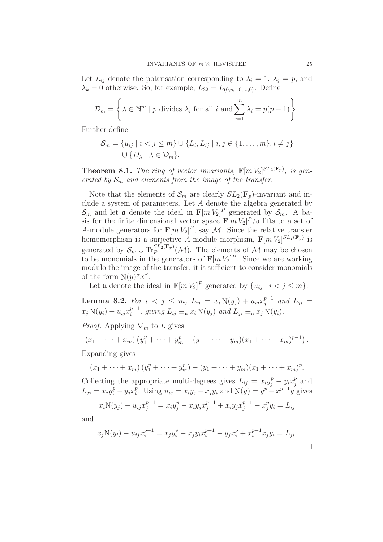Let  $L_{ij}$  denote the polarisation corresponding to  $\lambda_i = 1, \lambda_j = p$ , and  $\lambda_k = 0$  otherwise. So, for example,  $L_{32} = L_{(0,n,1,0,...,0)}$ . Define

$$
\mathcal{D}_m = \left\{ \lambda \in \mathbb{N}^m \mid p \text{ divides } \lambda_i \text{ for all } i \text{ and } \sum_{i=1}^m \lambda_i = p(p-1) \right\}.
$$

Further define

$$
\mathcal{S}_m = \{u_{ij} \mid i < j \leq m\} \cup \{L_i, L_{ij} \mid i, j \in \{1, \ldots, m\}, i \neq j\}
$$
\n
$$
\cup \{D_\lambda \mid \lambda \in \mathcal{D}_m\}.
$$

**Theorem 8.1.** The ring of vector invariants,  $\mathbf{F}[m V_2]^{SL_2(\mathbf{F}_p)}$ , is gen*erated by*  $S_m$  *and elements from the image of the transfer.* 

Note that the elements of  $\mathcal{S}_m$  are clearly  $SL_2(\mathbf{F}_n)$ -invariant and include a system of parameters. Let A denote the algebra generated by  $\mathcal{S}_m$  and let **a** denote the ideal in  $\mathbf{F}[m V_2]^P$  generated by  $\mathcal{S}_m$ . A basis for the finite dimensional vector space  $\mathbf{F}[m V_2]^P/\mathfrak{a}$  lifts to a set of A-module generators for  $\mathbf{F}[m V_2]^P$ , say M. Since the relative transfer homomorphism is a surjective A-module morphism,  $\mathbf{F}[m V_2]^{SL_2(\mathbf{F}_p)}$  is generated by  $S_m \cup \text{Tr}_P^{SL_2(\mathbf{F}_p)}(\mathcal{M})$ . The elements of  $\mathcal M$  may be chosen to be monomials in the generators of  $\mathbf{F}[m V_2]^P$ . Since we are working modulo the image of the transfer, it is sufficient to consider monomials of the form  $N(y)^{\alpha}x^{\beta}$ .

Let **u** denote the ideal in  $\mathbf{F}[m V_2]^P$  generated by  $\{u_{ij} \mid i < j \le m\}$ .

<span id="page-25-0"></span>**Lemma 8.2.** *For*  $i < j \le m$ ,  $L_{ij} = x_i N(y_j) + u_{ij} x_j^{p-1}$  $j^{p-1}$  and  $L_{ji} =$  $x_j N(y_i) - u_{ij} x_i^{p-1}$  $i^{p-1}$ , giving  $L_{ij} \equiv_{\mathfrak{u}} x_i \mathbb{N}(y_j)$  and  $L_{ji} \equiv_{\mathfrak{u}} x_j \mathbb{N}(y_i)$ *.* 

*Proof.* Applying  $\nabla_m$  to L gives

$$
(x_1 + \cdots + x_m) (y_1^p + \cdots + y_m^p - (y_1 + \cdots + y_m)(x_1 + \cdots + x_m)^{p-1}).
$$

Expanding gives

$$
(x_1 + \cdots + x_m)(y_1^p + \cdots + y_m^p) - (y_1 + \cdots + y_m)(x_1 + \cdots + x_m)^p.
$$

Collecting the appropriate multi-degrees gives  $L_{ij} = x_i y_j^p - y_i x_j^p$  $_j^p$  and  $L_{ji} = x_j y_i^p - y_j x_i^p$ <sup>p</sup>. Using  $u_{ij} = x_i y_j - x_j y_i$  and  $N(y) = y^p - x^{p-1} y$  gives

$$
x_i \mathbf{N}(y_j) + u_{ij} x_j^{p-1} = x_i y_j^p - x_i y_j x_j^{p-1} + x_i y_j x_j^{p-1} - x_j^p y_i = L_{ij}
$$

and

$$
x_j \mathcal{N}(y_i) - u_{ij} x_i^{p-1} = x_j y_i^p - x_j y_i x_i^{p-1} - y_j x_i^p + x_i^{p-1} x_j y_i = L_{ji}.
$$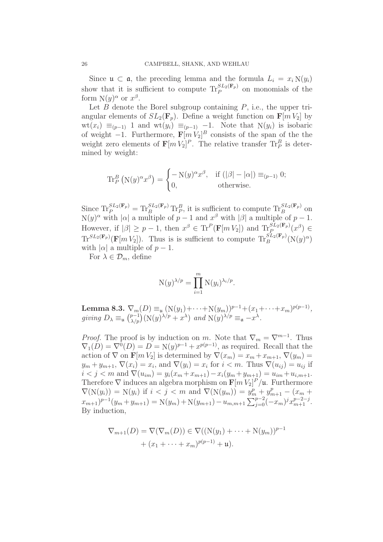Since  $\mathfrak{u} \subset \mathfrak{a}$ , the preceding lemma and the formula  $L_i = x_i N(y_i)$ show that it is sufficient to compute  $\text{Tr}_{P}^{SL_2(\mathbf{F}_p)}$  on monomials of the form  $N(y)^\alpha$  or  $x^\beta$ .

Let  $B$  denote the Borel subgroup containing  $P$ , i.e., the upper triangular elements of  $SL_2(\mathbf{F}_n)$ . Define a weight function on  $\mathbf{F}[m V_2]$  by  $wt(x_i) \equiv_{(p-1)} 1$  and  $wt(y_i) \equiv_{(p-1)} -1$ . Note that  $N(y_i)$  is isobaric of weight  $-1$ . Furthermore,  $\mathbf{F}[m V_2]^B$  consists of the span of the the weight zero elements of  $\mathbf{F}[m V_2]^P$ . The relative transfer  $\text{Tr}_P^B$  is determined by weight:

$$
\operatorname{Tr}_{P}^{B}\left(\mathrm{N}(y)^{\alpha}x^{\beta}\right) = \begin{cases} -\mathrm{N}(y)^{\alpha}x^{\beta}, & \text{if } (|\beta| - |\alpha|) \equiv_{(p-1)} 0; \\ 0, & \text{otherwise.} \end{cases}
$$

Since  $\text{Tr}_{P}^{SL_2(\mathbf{F}_p)} = \text{Tr}_{B}^{SL_2(\mathbf{F}_p)} \text{Tr}_{P}^{B}$ , it is sufficient to compute  $\text{Tr}_{B}^{SL_2(\mathbf{F}_p)}$  on  $N(y)^{\alpha}$  with  $|\alpha|$  a multiple of  $p-1$  and  $x^{\beta}$  with  $|\beta|$  a multiple of  $p-1$ . However, if  $|\beta| \ge p-1$ , then  $x^{\beta} \in \text{Tr}^{P}(\mathbf{F}[m V_2])$  and  $\text{Tr}^{SL_2(\mathbf{F}_p)}_{P} (x^{\beta}) \in$  $\text{Tr}^{SL_2(\mathbf{F}_p)}(\mathbf{F}[m V_2])$ . Thus is is sufficient to compute  $\text{Tr}^{SL_2(\mathbf{F}_p)}_B(\mathbf{N}(y)^\alpha)$ with  $|\alpha|$  a multiple of  $p-1$ .

For  $\lambda \in \mathcal{D}_m$ , define

$$
N(y)^{\lambda/p} = \prod_{i=1}^m N(y_i)^{\lambda_i/p}.
$$

Lemma 8.3.  $\nabla_m(D) \equiv_u (N(y_1)+\cdots+N(y_m))^{p-1}+(x_1+\cdots+x_m)^{p(p-1)},$ giving  $D_{\lambda} \equiv_{\mathfrak{u}} {p-1 \choose \lambda/p} (\mathcal{N}(y)^{\lambda/p} + x^{\lambda})$  and  $\mathcal{N}(y)^{\lambda/p} \equiv_{\mathfrak{a}} -x^{\lambda}$ .

*Proof.* The proof is by induction on m. Note that  $\nabla_m = \nabla^{m-1}$ . Thus  $\nabla_1(D) = \nabla^0(D) = D = \mathcal{N}(y)^{p-1} + x^{p(p-1)}$ , as required. Recall that the action of  $\nabla$  on  $\mathbf{F}[m V_2]$  is determined by  $\nabla(x_m) = x_m + x_{m+1}, \nabla(y_m) =$  $y_m + y_{m+1}, \nabla(x_i) = x_i$ , and  $\nabla(y_i) = x_i$  for  $i < m$ . Thus  $\nabla(u_{ij}) = u_{ij}$  if  $i < j < m$  and  $\nabla(u_{im}) = y_i(x_m + x_{m+1}) - x_i(y_m + y_{m+1}) = u_{im} + u_{i,m+1}.$ Therefore  $\nabla$  induces an algebra morphism on  $\mathbf{F}[m V_2]^P/\mathfrak{u}$ . Furthermore  $\nabla(N(y_i)) = N(y_i)$  if  $i < j < m$  and  $\nabla(N(y_m)) = y_m^p + y_{m+1}^p - (x_m + y_m^p)$  $(x_{m+1})^{p-1}(y_m + y_{m+1}) = \mathcal{N}(y_m) + \mathcal{N}(y_{m+1}) - u_{m,m+1} \sum_{j=0}^{p-2} (-x_m)^j x_{m+1}^{p-2-j}.$ By induction,

$$
\nabla_{m+1}(D) = \nabla(\nabla_m(D)) \in \nabla((N(y_1) + \dots + N(y_m))^{p-1} + (x_1 + \dots + x_m)^{p(p-1)} + \mathfrak{u}).
$$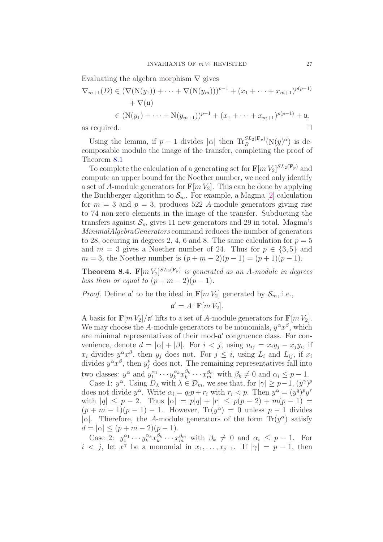Evaluating the algebra morphism  $\nabla$  gives

$$
\nabla_{m+1}(D) \in (\nabla(\mathcal{N}(y_1)) + \dots + \nabla(\mathcal{N}(y_m)))^{p-1} + (x_1 + \dots + x_{m+1})^{p(p-1)} \n+ \nabla(\mathfrak{u}) \n\in (\mathcal{N}(y_1) + \dots + \mathcal{N}(y_{m+1}))^{p-1} + (x_1 + \dots + x_{m+1})^{p(p-1)} + \mathfrak{u},
$$
\nas required.

Using the lemma, if  $p-1$  divides  $|\alpha|$  then  $\text{Tr}_{B}^{SL_2(\mathbf{F}_p)}(\text{N}(y)^{\alpha})$  is decomposable modulo the image of the transfer, completing the proof of Theorem [8.1](#page-24-0)

To complete the calculation of a generating set for  $\mathbf{F}[m V_2]^{SL_2(\mathbf{F}_p)}$  and compute an upper bound for the Noether number, we need only identify a set of A-module generators for  $\mathbf{F}[m V_2]$ . This can be done by applying the Buchberger algorithm to  $S_m$ . For example, a Magma [\[2\]](#page-27-7) calculation for  $m = 3$  and  $p = 3$ , produces 522 A-module generators giving rise to 74 non-zero elements in the image of the transfer. Subducting the transfers against  $S_m$  gives 11 new generators and 29 in total. Magma's *MinimalAlgebraGenerators* command reduces the number of generators to 28, occuring in degrees 2, 4, 6 and 8. The same calculation for  $p = 5$ and  $m = 3$  gives a Noether number of 24. Thus for  $p \in \{3, 5\}$  and  $m = 3$ , the Noether number is  $(p + m - 2)(p - 1) = (p + 1)(p - 1)$ .

**Theorem 8.4.**  $\mathbf{F}[m V_2]^{SL_2(\mathbf{F}_p)}$  is generated as an A-module in degrees *less than or equal to*  $(p+m-2)(p-1)$ *.* 

*Proof.* Define  $\mathfrak{a}'$  to be the ideal in  $\mathbf{F}[m V_2]$  generated by  $\mathcal{S}_m$ , i.e.,

$$
\mathfrak{a}' = A^+ \mathbf{F}[m V_2].
$$

<span id="page-27-7"></span><span id="page-27-4"></span><span id="page-27-1"></span>A basis for  $\mathbf{F}[m V_2]/\mathfrak{a}'$  lifts to a set of A-module generators for  $\mathbf{F}[m V_2]$ . We may choose the A-module generators to be monomials,  $y^{\alpha}x^{\beta}$ , which are minimal representatives of their mod- $\alpha'$  congruence class. For convenience, denote  $d = |\alpha| + |\beta|$ . For  $i < j$ , using  $u_{ij} = x_i y_j - x_j y_i$ , if  $x_i$  divides  $y^{\alpha}x^{\beta}$ , then  $y_j$  does not. For  $j \leq i$ , using  $L_i$  and  $L_{ij}$ , if  $x_i$ divides  $y^{\alpha}x^{\beta}$ , then  $y_j^p$  does not. The remaining representatives fall into two classes:  $y^{\alpha}$  and  $y_1^{\alpha_1}$  $y_1^{\alpha_1}\cdots y_k^{\alpha_k}$  $\frac{\alpha_k}{k} x_k^{\beta_k}$  $\beta_k^{\beta_k} \cdots x_m^{\beta_m}$  with  $\beta_k \neq 0$  and  $\alpha_i \leq p-1$ .

<span id="page-27-6"></span><span id="page-27-3"></span><span id="page-27-0"></span>Case 1:  $y^{\alpha}$ . Using  $D_{\lambda}$  with  $\lambda \in \mathcal{D}_m$ , we see that, for  $|\gamma| \geq p-1$ ,  $(y^{\gamma})^p$ does not divide  $y^{\alpha}$ . Write  $\alpha_i = q_i p + r_i$  with  $r_i < p$ . Then  $y^{\alpha} = (y^q)^p y^r$ with  $|q| \leq p-2$ . Thus  $|\alpha| = p|q| + |r| \leq p(p-2) + m(p-1) =$  $(p+m-1)(p-1) - 1$ . However,  $Tr(y^{\alpha}) = 0$  unless  $p-1$  divides | $\alpha$ |. Therefore, the A-module generators of the form Tr( $y^{\alpha}$ ) satisfy  $d = |\alpha| \le (p + m - 2)(p - 1).$ 

<span id="page-27-5"></span><span id="page-27-2"></span>Case 2:  $y_1^{\alpha_1}$  $y_k^{\alpha_1}\cdots y_k^{\alpha_k}$  $\frac{\alpha_k}{k} x_k^{\beta_k}$  $\beta_k^{\beta_k} \cdots x_m^{\beta_m}$  with  $\beta_k \neq 0$  and  $\alpha_i \leq p-1$ . For  $i < j$ , let  $x^{\gamma}$  be a monomial in  $x_1, \ldots, x_{j-1}$ . If  $|\gamma| = p - 1$ , then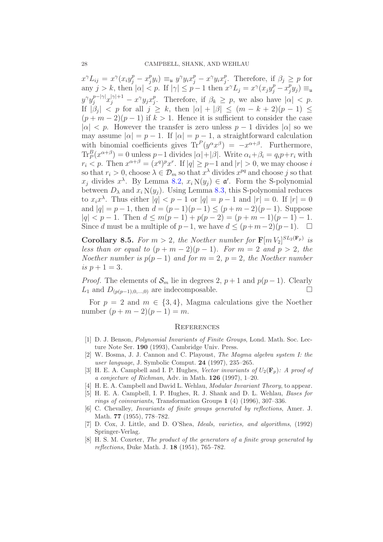<span id="page-28-19"></span><span id="page-28-11"></span><span id="page-28-9"></span><span id="page-28-6"></span><span id="page-28-5"></span> $x^{\gamma}L_{ij} = x^{\gamma}(x_iy_j^p - x_j^p)$  $(y^p y_i) \equiv_u y^{\gamma} y_i x_j^p - x^{\gamma} y_i x_j^p$ <sup>*p*</sup>. Therefore, if  $\beta_j \geq p$  for any  $j > k$ , then  $|\alpha| < p$ . If  $|\gamma| \leq p - 1$  then  $x^{\gamma} L_j = x^{\gamma} (x_j y_j^p - x_j^p)$  $_j^p y_j) \equiv_\mathfrak{u}$  $y^\gamma y_j^{p-|\gamma|} x_j^{|\gamma|+1} - x^\gamma y_j x_j^p$ <sup>*p*</sup>. Therefore, if  $\beta_k \geq p$ , we also have  $|\alpha| < p$ . If  $|\beta_j|$  < p for all  $j \geq k$ , then  $|\alpha| + |\beta| \leq (m - k + 2)(p - 1) \leq$  $(p+m-2)(p-1)$  if  $k>1$ . Hence it is sufficient to consider the case  $|\alpha|$  < p. However the transfer is zero unless  $p-1$  divides  $|\alpha|$  so we may assume  $|\alpha| = p - 1$ . If  $|\alpha| = p - 1$ , a straightforward calculation with binomial coefficients gives  $\text{Tr}^P(y^{\alpha}x^{\beta}) = -x^{\alpha+\beta}$ . Furthermore,  $\text{Tr}_P^B(x^{\alpha+\beta}) = 0$  unless  $p-1$  divides  $|\alpha| + |\beta|$ . Write  $\alpha_i + \beta_i = q_i p + r_i$  with  $r_i < p$ . Then  $x^{\alpha+\beta} = (x^q)^p x^r$ . If  $|q| \ge p-1$  and  $|r| > 0$ , we may choose i so that  $r_i > 0$ , choose  $\lambda \in \mathcal{D}_m$  so that  $x^{\lambda}$  divides  $x^{pq}$  and choose j so that  $x_j$  divides  $x^{\lambda}$ . By Lemma [8.2,](#page-24-1)  $x_i N(y_j) \in \mathfrak{a}'$ . Form the S-polynomial between  $D_{\lambda}$  and  $x_i N(y_i)$ . Using Lemma [8.3,](#page-25-0) this S-polynomial reduces to  $x_ix^{\lambda}$ . Thus either  $|q| < p-1$  or  $|q| = p-1$  and  $|r| = 0$ . If  $|r| = 0$ and  $|q| = p - 1$ , then  $d = (p - 1)(p - 1) \leq (p + m - 2)(p - 1)$ . Suppose  $|q| < p-1$ . Then  $d \leq m(p-1) + p(p-2) = (p+m-1)(p-1) - 1$ . Since d must be a multiple of  $p-1$ , we have  $d \leq (p+m-2)(p-1)$ . □

<span id="page-28-17"></span><span id="page-28-15"></span><span id="page-28-13"></span><span id="page-28-12"></span><span id="page-28-8"></span><span id="page-28-4"></span>**Corollary 8.5.** For  $m > 2$ , the Noether number for  $\mathbf{F}[m V_2]^{SL_2(\mathbf{F}_p)}$  is *less than or equal to*  $(p + m - 2)(p - 1)$ *. For*  $m = 2$  *and*  $p > 2$ *, the Noether number is*  $p(p-1)$  *and for*  $m = 2$ ,  $p = 2$ , the Noether number *is*  $p + 1 = 3$ *.* 

<span id="page-28-16"></span>*Proof.* The elements of  $\mathcal{S}_m$  lie in degrees 2,  $p + 1$  and  $p(p - 1)$ . Clearly  $L_1$  and  $D_{(p(p-1),0,...,0)}$  are indecomposable.

<span id="page-28-3"></span><span id="page-28-0"></span>For  $p = 2$  and  $m \in \{3, 4\}$ , Magma calculations give the Noether number  $(p + m - 2)(p - 1) = m$ .

#### **REFERENCES**

- <span id="page-28-18"></span>[1] D. J. Benson, Polynomial Invariants of Finite Groups, Lond. Math. Soc. Lecture Note Ser. 190 (1993), Cambridge Univ. Press.
- <span id="page-28-1"></span>[2] W. Bosma, J. J. Cannon and C. Playoust, The Magma algebra system I: the user language, J. Symbolic Comput. 24 (1997), 235–265.
- <span id="page-28-14"></span>[3] H. E. A. Campbell and I. P. Hughes, Vector invariants of  $U_2(\mathbf{F}_n)$ : A proof of a conjecture of Richman, Adv. in Math.  $126$  (1997), 1–20.
- <span id="page-28-2"></span>[4] H. E. A. Campbell and David L. Wehlau, *Modular Invariant Theory*, to appear.
- <span id="page-28-7"></span>[5] H. E. A. Campbell, I. P. Hughes, R. J. Shank and D. L. Wehlau, Bases for rings of coinvariants, Transformation Groups 1 (4) (1996), 307–336.
- <span id="page-28-10"></span>[6] C. Chevalley, Invariants of finite groups generated by reflections, Amer. J. Math. 77 (1955), 778–782.
- <span id="page-28-20"></span>[7] D. Cox, J. Little, and D. O'Shea, Ideals, varieties, and algorithms, (1992) Springer-Verlag.
- [8] H. S. M. Coxeter, The product of the generators of a finite group generated by reflections, Duke Math. J. 18 (1951), 765–782.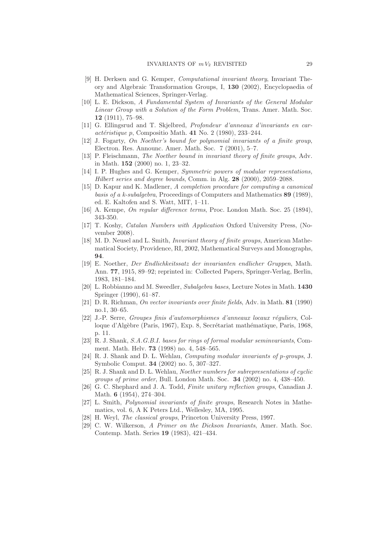- [9] H. Derksen and G. Kemper, Computational invariant theory, Invariant Theory and Algebraic Transformation Groups, I, 130 (2002), Encyclopaedia of Mathematical Sciences, Springer-Verlag.
- [10] L. E. Dickson, A Fundamental System of Invariants of the General Modular Linear Group with a Solution of the Form Problem, Trans. Amer. Math. Soc. 12 (1911), 75–98.
- [11] G. Ellingsrud and T. Skjelbred, Profondeur d'anneaux d'invariants en car- $\alpha$ ctéristique p, Compositio Math. 41 No. 2 (1980), 233–244.
- [12] J. Fogarty, On Noether's bound for polynomial invariants of a finite group, Electron. Res. Announc. Amer. Math. Soc. 7 (2001), 5–7.
- [13] P. Fleischmann, The Noether bound in invariant theory of finite groups, Adv. in Math. 152 (2000) no. 1, 23–32.
- [14] I. P. Hughes and G. Kemper, Symmetric powers of modular representations, Hilbert series and degree bounds, Comm. in Alg. 28 (2000), 2059–2088.
- [15] D. Kapur and K. Madlener, A completion procedure for computing a canonical basis of a k-subalgebra, Proceedings of Computers and Mathematics 89 (1989), ed. E. Kaltofen and S. Watt, MIT, 1–11.
- [16] A. Kempe, On regular difference terms, Proc. London Math. Soc. 25 (1894), 343-350.
- [17] T. Koshy, Catalan Numbers with Application Oxford University Press, (November 2008).
- [18] M. D. Neusel and L. Smith, Invariant theory of finite groups, American Mathematical Society, Providence, RI, 2002, Mathematical Surveys and Monographs, 94.
- [19] E. Noether, Der Endlichkeitssatz der invarianten endlicher Gruppen, Math. Ann. 77, 1915, 89–92; reprinted in: Collected Papers, Springer-Verlag, Berlin, 1983, 181–184.
- [20] L. Robbianno and M. Sweedler, Subalgebra bases, Lecture Notes in Math. 1430 Springer (1990), 61–87.
- [21] D. R. Richman, On vector invariants over finite fields, Adv. in Math. 81 (1990) no.1, 30–65.
- [22] J.-P. Serre, Groupes finis d'automorphismes d'anneaux locaux réquliers, Colloque d'Algèbre (Paris, 1967), Exp. 8, Secrétariat mathématique, Paris, 1968, p. 11.
- [23] R. J. Shank, S.A.G.B.I. bases for rings of formal modular seminvariants, Comment. Math. Helv. 73 (1998) no. 4, 548–565.
- [24] R. J. Shank and D. L. Wehlau, *Computing modular invariants of p-groups*, J. Symbolic Comput. 34 (2002) no. 5, 307–327.
- [25] R. J. Shank and D. L. Wehlau, Noether numbers for subrepresentations of cyclic groups of prime order, Bull. London Math. Soc. 34 (2002) no. 4, 438–450.
- [26] G. C. Shephard and J. A. Todd, Finite unitary reflection groups, Canadian J. Math. **6** (1954), 274-304.
- [27] L. Smith, Polynomial invariants of finite groups, Research Notes in Mathematics, vol. 6, A K Peters Ltd., Wellesley, MA, 1995.
- [28] H. Weyl, The classical groups, Princeton University Press, 1997.
- [29] C. W. Wilkerson, A Primer on the Dickson Invariants, Amer. Math. Soc. Contemp. Math. Series 19 (1983), 421–434.